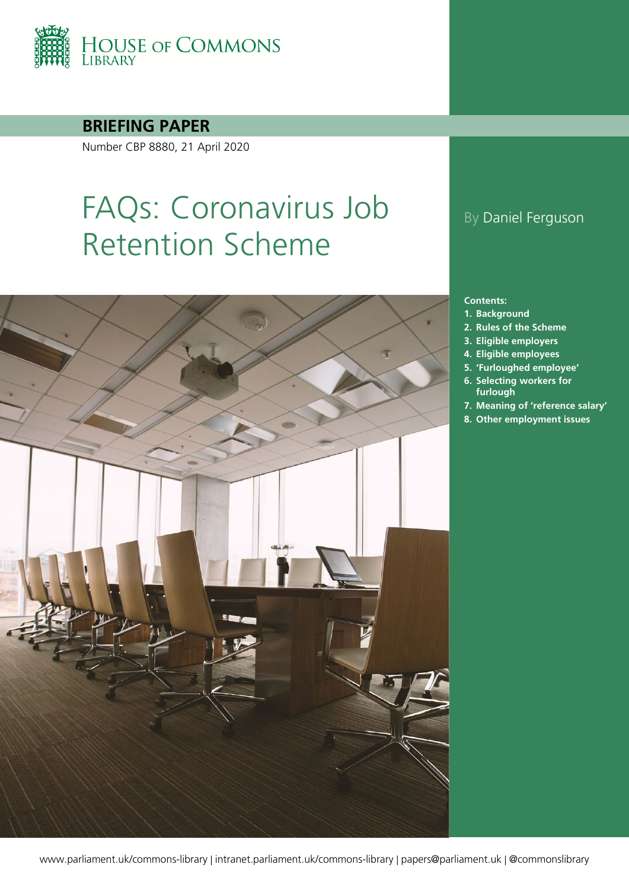

**BRIEFING PAPER**

Number CBP 8880, 21 April 2020

# FAQs: Coronavirus Job Retention Scheme



## By Daniel Ferguson

#### **Contents:**

- **1. [Background](#page-4-0)**
- **2. [Rules of the Scheme](#page-6-0)**
- **3. [Eligible employers](#page-8-0)**
- **4. [Eligible employees](#page-11-0)**
- **5. ['Furloughed employee'](#page-14-0)**
- **6. [Selecting workers for](#page-18-0)  [furlough](#page-18-0)**
- **7. [Meaning of 'reference salary'](#page-22-0)**
- **8. [Other employment issues](#page-25-0)**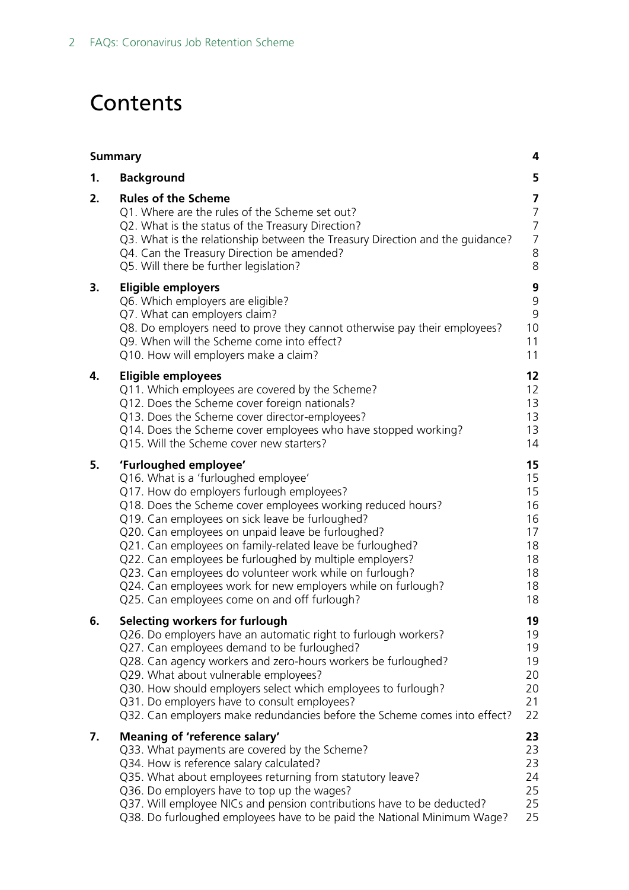## **Contents**

|    | 4<br><b>Summary</b>                                                                                                                                                                                                                                                                                                                                                                                                                                                                                                                                                                  |                                                                |  |
|----|--------------------------------------------------------------------------------------------------------------------------------------------------------------------------------------------------------------------------------------------------------------------------------------------------------------------------------------------------------------------------------------------------------------------------------------------------------------------------------------------------------------------------------------------------------------------------------------|----------------------------------------------------------------|--|
| 1. | <b>Background</b>                                                                                                                                                                                                                                                                                                                                                                                                                                                                                                                                                                    | 5                                                              |  |
| 2. | <b>Rules of the Scheme</b><br>Q1. Where are the rules of the Scheme set out?<br>Q2. What is the status of the Treasury Direction?<br>Q3. What is the relationship between the Treasury Direction and the guidance?<br>Q4. Can the Treasury Direction be amended?<br>Q5. Will there be further legislation?                                                                                                                                                                                                                                                                           | 7<br>7<br>$\overline{7}$<br>$\overline{7}$<br>$\,8\,$<br>8     |  |
| 3. | <b>Eligible employers</b><br>Q6. Which employers are eligible?<br>Q7. What can employers claim?<br>Q8. Do employers need to prove they cannot otherwise pay their employees?<br>Q9. When will the Scheme come into effect?<br>Q10. How will employers make a claim?                                                                                                                                                                                                                                                                                                                  | 9<br>9<br>$\mathsf 9$<br>10<br>11<br>11                        |  |
| 4. | <b>Eligible employees</b><br>Q11. Which employees are covered by the Scheme?<br>Q12. Does the Scheme cover foreign nationals?<br>Q13. Does the Scheme cover director-employees?<br>Q14. Does the Scheme cover employees who have stopped working?<br>Q15. Will the Scheme cover new starters?                                                                                                                                                                                                                                                                                        | 12<br>12<br>13<br>13<br>13<br>14                               |  |
| 5. | 'Furloughed employee'<br>Q16. What is a 'furloughed employee'<br>Q17. How do employers furlough employees?<br>Q18. Does the Scheme cover employees working reduced hours?<br>Q19. Can employees on sick leave be furloughed?<br>Q20. Can employees on unpaid leave be furloughed?<br>Q21. Can employees on family-related leave be furloughed?<br>Q22. Can employees be furloughed by multiple employers?<br>Q23. Can employees do volunteer work while on furlough?<br>Q24. Can employees work for new employers while on furlough?<br>Q25. Can employees come on and off furlough? | 15<br>15<br>15<br>16<br>16<br>17<br>18<br>18<br>18<br>18<br>18 |  |
| 6. | Selecting workers for furlough<br>Q26. Do employers have an automatic right to furlough workers?<br>Q27. Can employees demand to be furloughed?<br>Q28. Can agency workers and zero-hours workers be furloughed?<br>Q29. What about vulnerable employees?<br>Q30. How should employers select which employees to furlough?<br>Q31. Do employers have to consult employees?<br>Q32. Can employers make redundancies before the Scheme comes into effect?                                                                                                                              | 19<br>19<br>19<br>19<br>20<br>20<br>21<br>22                   |  |
| 7. | Meaning of 'reference salary'<br>Q33. What payments are covered by the Scheme?<br>Q34. How is reference salary calculated?<br>Q35. What about employees returning from statutory leave?<br>Q36. Do employers have to top up the wages?<br>Q37. Will employee NICs and pension contributions have to be deducted?<br>Q38. Do furloughed employees have to be paid the National Minimum Wage?                                                                                                                                                                                          | 23<br>23<br>23<br>24<br>25<br>25<br>25                         |  |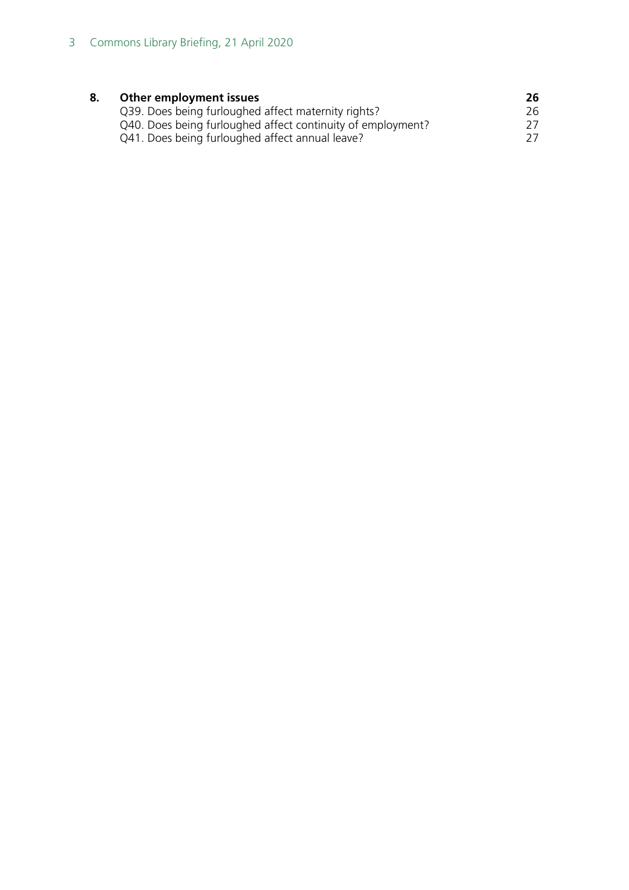| Other employment issues                                     | 26  |
|-------------------------------------------------------------|-----|
| Q39. Does being furloughed affect maternity rights?         | 26. |
| Q40. Does being furloughed affect continuity of employment? | 27. |
| Q41. Does being furloughed affect annual leave?             | 27. |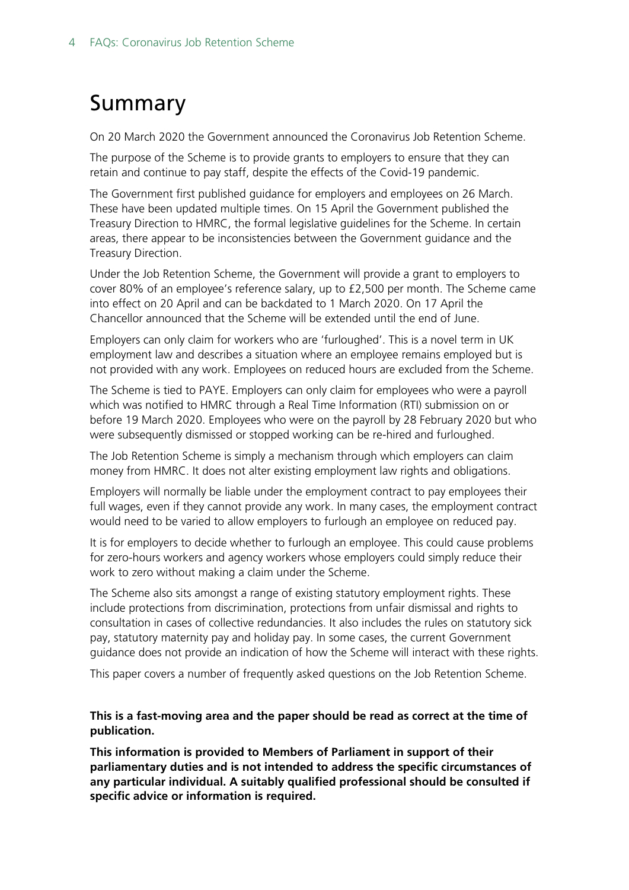## <span id="page-3-0"></span>Summary

On 20 March 2020 the Government announced the Coronavirus Job Retention Scheme.

The purpose of the Scheme is to provide grants to employers to ensure that they can retain and continue to pay staff, despite the effects of the Covid-19 pandemic.

The Government first published guidance for employers and employees on 26 March. These have been updated multiple times. On 15 April the Government published the Treasury Direction to HMRC, the formal legislative guidelines for the Scheme. In certain areas, there appear to be inconsistencies between the Government guidance and the Treasury Direction.

Under the Job Retention Scheme, the Government will provide a grant to employers to cover 80% of an employee's reference salary, up to £2,500 per month. The Scheme came into effect on 20 April and can be backdated to 1 March 2020. On 17 April the Chancellor announced that the Scheme will be extended until the end of June.

Employers can only claim for workers who are 'furloughed'. This is a novel term in UK employment law and describes a situation where an employee remains employed but is not provided with any work. Employees on reduced hours are excluded from the Scheme.

The Scheme is tied to PAYE. Employers can only claim for employees who were a payroll which was notified to HMRC through a Real Time Information (RTI) submission on or before 19 March 2020. Employees who were on the payroll by 28 February 2020 but who were subsequently dismissed or stopped working can be re-hired and furloughed.

The Job Retention Scheme is simply a mechanism through which employers can claim money from HMRC. It does not alter existing employment law rights and obligations.

Employers will normally be liable under the employment contract to pay employees their full wages, even if they cannot provide any work. In many cases, the employment contract would need to be varied to allow employers to furlough an employee on reduced pay.

It is for employers to decide whether to furlough an employee. This could cause problems for zero-hours workers and agency workers whose employers could simply reduce their work to zero without making a claim under the Scheme.

The Scheme also sits amongst a range of existing statutory employment rights. These include protections from discrimination, protections from unfair dismissal and rights to consultation in cases of collective redundancies. It also includes the rules on statutory sick pay, statutory maternity pay and holiday pay. In some cases, the current Government guidance does not provide an indication of how the Scheme will interact with these rights.

This paper covers a number of frequently asked questions on the Job Retention Scheme.

#### **This is a fast-moving area and the paper should be read as correct at the time of publication.**

**This information is provided to Members of Parliament in support of their parliamentary duties and is not intended to address the specific circumstances of any particular individual. A suitably qualified professional should be consulted if specific advice or information is required.**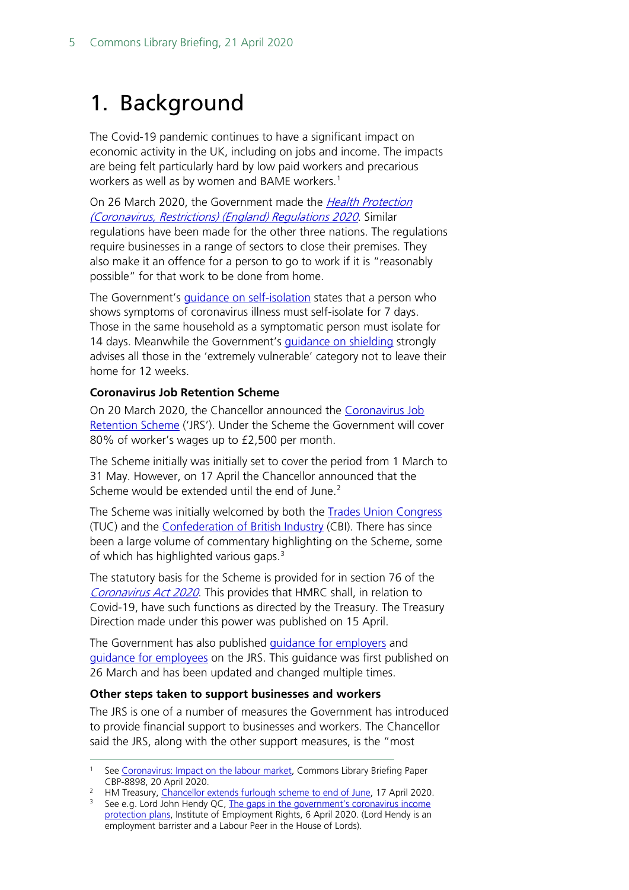## <span id="page-4-0"></span>1. Background

The Covid-19 pandemic continues to have a significant impact on economic activity in the UK, including on jobs and income. The impacts are being felt particularly hard by low paid workers and precarious workers as well as by women and BAME workers.<sup>[1](#page-4-1)</sup>

On 26 March 2020, the Government made the Health Protection [\(Coronavirus, Restrictions\)](http://www.legislation.gov.uk/uksi/2020/350/contents/made) (England) Regulations 2020. Similar regulations have been made for the other three nations. The regulations require businesses in a range of sectors to close their premises. They also make it an offence for a person to go to work if it is "reasonably possible" for that work to be done from home.

The Government's [guidance on self-isolation](https://www.gov.uk/government/publications/covid-19-stay-at-home-guidance/stay-at-home-guidance-for-households-with-possible-coronavirus-covid-19-infection) states that a person who shows symptoms of coronavirus illness must self-isolate for 7 days. Those in the same household as a symptomatic person must isolate for 14 days. Meanwhile the Government's quidance on shielding strongly advises all those in the 'extremely vulnerable' category not to leave their home for 12 weeks.

#### **Coronavirus Job Retention Scheme**

On 20 March 2020, the Chancellor announced the [Coronavirus Job](https://www.businesssupport.gov.uk/coronavirus-job-retention-scheme/)  [Retention Scheme](https://www.businesssupport.gov.uk/coronavirus-job-retention-scheme/) ('JRS'). Under the Scheme the Government will cover 80% of worker's wages up to £2,500 per month.

The Scheme initially was initially set to cover the period from 1 March to 31 May. However, on 17 April the Chancellor announced that the Scheme would be extended until the end of June.<sup>[2](#page-4-2)</sup>

The Scheme was initially welcomed by both the [Trades Union Congress](https://twitter.com/The_TUC/status/1241062512612855808) (TUC) and the [Confederation of British Industry](https://twitter.com/cbicarolyn/status/1241071810600472578) (CBI). There has since been a large volume of commentary highlighting on the Scheme, some of which has highlighted various gaps.<sup>[3](#page-4-3)</sup>

The statutory basis for the Scheme is provided for in section 76 of the [Coronavirus Act 2020](http://www.legislation.gov.uk/ukpga/2020/7/contents/enacted/data.htm). This provides that HMRC shall, in relation to Covid-19, have such functions as directed by the Treasury. The Treasury Direction made under this power was published on 15 April.

The Government has also published [guidance for employers](https://www.gov.uk/guidance/claim-for-wage-costs-through-the-coronavirus-job-retention-scheme?fbclid=IwAR01rSs4rCE4YS-aLNhIjLHYOFTCyfFai2dDeniRYcWWyaROVwuDDBO1QKo) and [guidance for employees](https://www.gov.uk/guidance/check-if-you-could-be-covered-by-the-coronavirus-job-retention-scheme) on the JRS. This guidance was first published on 26 March and has been updated and changed multiple times.

#### **Other steps taken to support businesses and workers**

The JRS is one of a number of measures the Government has introduced to provide financial support to businesses and workers. The Chancellor said the JRS, along with the other support measures, is the "most

<span id="page-4-1"></span><sup>1</sup> See [Coronavirus: Impact on the labour market,](https://commonslibrary.parliament.uk/research-briefings/cbp-8898/) Commons Library Briefing Paper CBP-8898, 20 April 2020.

<span id="page-4-3"></span><span id="page-4-2"></span><sup>&</sup>lt;sup>2</sup> HM Treasury, [Chancellor extends furlough scheme to end of June,](https://www.gov.uk/government/news/chancellor-extends-furlough-scheme-to-end-of-june) 17 April 2020.

<sup>&</sup>lt;sup>3</sup> See e.g. Lord John Hendy QC, The gaps in the government's coronavirus income [protection plans,](https://www.ier.org.uk/wp-content/uploads/The-gaps-in-the-governments-Coronavirus-income-protection-plans-090420.pdf) Institute of Employment Rights, 6 April 2020. (Lord Hendy is an employment barrister and a Labour Peer in the House of Lords).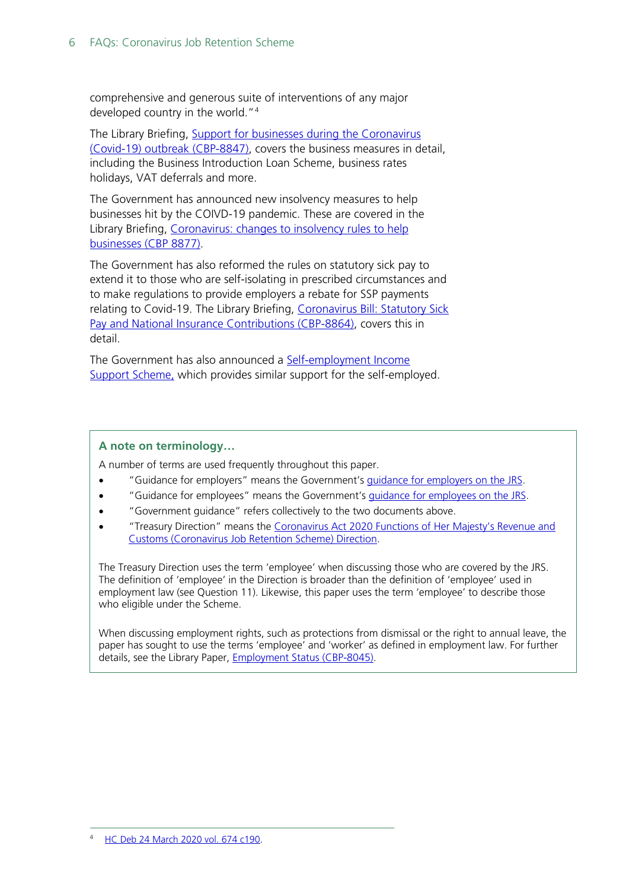comprehensive and generous suite of interventions of any major developed country in the world."[4](#page-5-0)

The Library Briefing, [Support for businesses during the Coronavirus](https://commonslibrary.parliament.uk/research-briefings/cbp-8847/)  [\(Covid-19\) outbreak \(CBP-8847\),](https://commonslibrary.parliament.uk/research-briefings/cbp-8847/) covers the business measures in detail, including the Business Introduction Loan Scheme, business rates holidays, VAT deferrals and more.

The Government has announced new insolvency measures to help businesses hit by the COIVD-19 pandemic. These are covered in the Library Briefing, [Coronavirus: changes to insolvency rules to help](https://commonslibrary.parliament.uk/research-briefings/cbp-8877/)  businesses [\(CBP 8877\).](https://commonslibrary.parliament.uk/research-briefings/cbp-8877/)

The Government has also reformed the rules on statutory sick pay to extend it to those who are self-isolating in prescribed circumstances and to make regulations to provide employers a rebate for SSP payments relating to Covid-19. The Library Briefing, [Coronavirus Bill: Statutory Sick](https://commonslibrary.parliament.uk/research-briefings/cbp-8864/)  [Pay and National Insurance Contributions \(CBP-8864\),](https://commonslibrary.parliament.uk/research-briefings/cbp-8864/) covers this in detail.

The Government has also announced a [Self-employment Income](https://www.businesssupport.gov.uk/self-employment-income-support-scheme/)  [Support Scheme,](https://www.businesssupport.gov.uk/self-employment-income-support-scheme/) which provides similar support for the self-employed.

#### **A note on terminology…**

A number of terms are used frequently throughout this paper.

- "Guidance for employers" means the Government's [guidance for employers on the JRS.](https://www.gov.uk/guidance/claim-for-wage-costs-through-the-coronavirus-job-retention-scheme?fbclid=IwAR01rSs4rCE4YS-aLNhIjLHYOFTCyfFai2dDeniRYcWWyaROVwuDDBO1QKo)
- "Guidance for employees" means the Government's [guidance for employees on the JRS.](https://www.gov.uk/guidance/check-if-you-could-be-covered-by-the-coronavirus-job-retention-scheme)
- "Government guidance" refers collectively to the two documents above.
- "Treasury Direction" means the [Coronavirus Act 2020 Functions of Her Majesty's Revenue and](https://assets.publishing.service.gov.uk/government/uploads/system/uploads/attachment_data/file/879484/200414_CJRS_DIRECTION_-_33_FINAL_Signed.pdf)  [Customs \(Coronavirus Job Retention Scheme\) Direction.](https://assets.publishing.service.gov.uk/government/uploads/system/uploads/attachment_data/file/879484/200414_CJRS_DIRECTION_-_33_FINAL_Signed.pdf)

The Treasury Direction uses the term 'employee' when discussing those who are covered by the JRS. The definition of 'employee' in the Direction is broader than the definition of 'employee' used in employment law (see Question 11). Likewise, this paper uses the term 'employee' to describe those who eligible under the Scheme.

<span id="page-5-0"></span>When discussing employment rights, such as protections from dismissal or the right to annual leave, the paper has sought to use the terms 'employee' and 'worker' as defined in employment law. For further details, see the Library Paper, [Employment Status \(CBP-8045\).](https://commonslibrary.parliament.uk/research-briefings/cbp-8045/)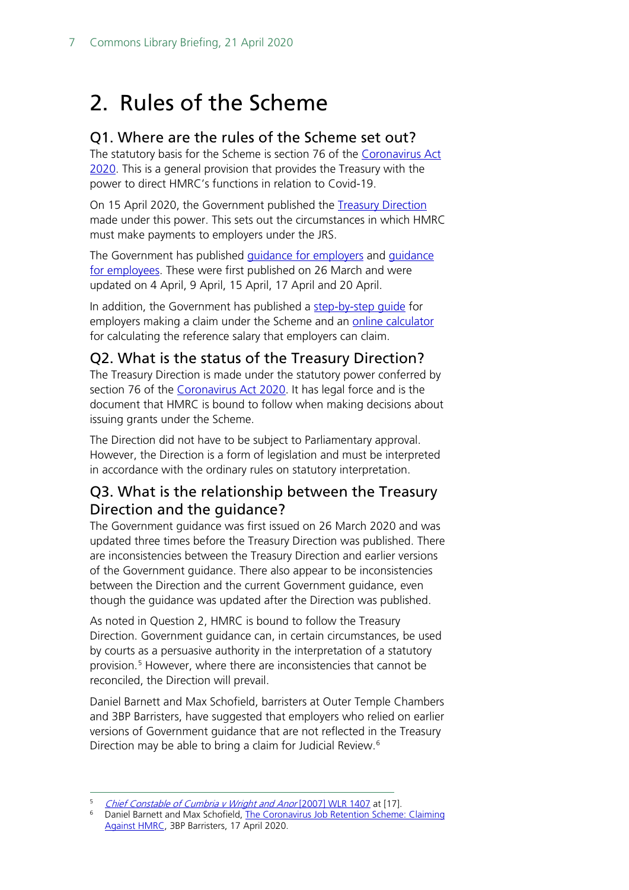## <span id="page-6-0"></span>2. Rules of the Scheme

## <span id="page-6-1"></span>Q1. Where are the rules of the Scheme set out?

The statutory basis for the Scheme is section 76 of the [Coronavirus Act](http://www.legislation.gov.uk/ukpga/2020/7/section/76)  [2020.](http://www.legislation.gov.uk/ukpga/2020/7/section/76) This is a general provision that provides the Treasury with the power to direct HMRC's functions in relation to Covid-19.

On 15 April 2020, the Government published the [Treasury Direction](https://assets.publishing.service.gov.uk/government/uploads/system/uploads/attachment_data/file/879484/200414_CJRS_DIRECTION_-_33_FINAL_Signed.pdf) made under this power. This sets out the circumstances in which HMRC must make payments to employers under the JRS.

The Government has published [guidance for employers](https://www.gov.uk/guidance/claim-for-wage-costs-through-the-coronavirus-job-retention-scheme?fbclid=IwAR01rSs4rCE4YS-aLNhIjLHYOFTCyfFai2dDeniRYcWWyaROVwuDDBO1QKo) and [guidance](https://www.gov.uk/guidance/check-if-you-could-be-covered-by-the-coronavirus-job-retention-scheme)  [for employees.](https://www.gov.uk/guidance/check-if-you-could-be-covered-by-the-coronavirus-job-retention-scheme) These were first published on 26 March and were updated on 4 April, 9 April, 15 April, 17 April and 20 April.

In addition, the Government has published a [step-by-step guide](https://assets.publishing.service.gov.uk/government/uploads/system/uploads/attachment_data/file/880092/Coronavirus_Job_Retention_Scheme_step_by_step_guide_for_employers.pdf) for employers making a claim under the Scheme and an [online calculator](https://www.gov.uk/guidance/work-out-80-of-your-employees-wages-to-claim-through-the-coronavirus-job-retention-scheme)  for calculating the reference salary that employers can claim.

### <span id="page-6-2"></span>Q2. What is the status of the Treasury Direction?

The Treasury Direction is made under the statutory power conferred by section 76 of the [Coronavirus Act 2020.](http://www.legislation.gov.uk/ukpga/2020/7/section/76) It has legal force and is the document that HMRC is bound to follow when making decisions about issuing grants under the Scheme.

The Direction did not have to be subject to Parliamentary approval. However, the Direction is a form of legislation and must be interpreted in accordance with the ordinary rules on statutory interpretation.

## <span id="page-6-3"></span>Q3. What is the relationship between the Treasury Direction and the guidance?

The Government guidance was first issued on 26 March 2020 and was updated three times before the Treasury Direction was published. There are inconsistencies between the Treasury Direction and earlier versions of the Government guidance. There also appear to be inconsistencies between the Direction and the current Government guidance, even though the guidance was updated after the Direction was published.

As noted in Question 2, HMRC is bound to follow the Treasury Direction. Government guidance can, in certain circumstances, be used by courts as a persuasive authority in the interpretation of a statutory provision.<sup>[5](#page-6-4)</sup> However, where there are inconsistencies that cannot be reconciled, the Direction will prevail.

Daniel Barnett and Max Schofield, barristers at Outer Temple Chambers and 3BP Barristers, have suggested that employers who relied on earlier versions of Government guidance that are not reflected in the Treasury Direction may be able to bring a claim for Judicial Review.<sup>[6](#page-6-5)</sup>

<span id="page-6-4"></span><sup>5</sup> [Chief Constable of Cumbria v Wright and Anor](https://www.bailii.org/ew/cases/EWHC/Admin/2006/3574.html) [2007] WLR 1407 at [17].

<span id="page-6-5"></span>Daniel Barnett and Max Schofield, The Coronavirus Job Retention Scheme: Claiming [Against HMRC,](https://www.3pb.co.uk/content/uploads/Claims-against-HMRC-Furlough-17-04-2020.pdf) 3BP Barristers, 17 April 2020.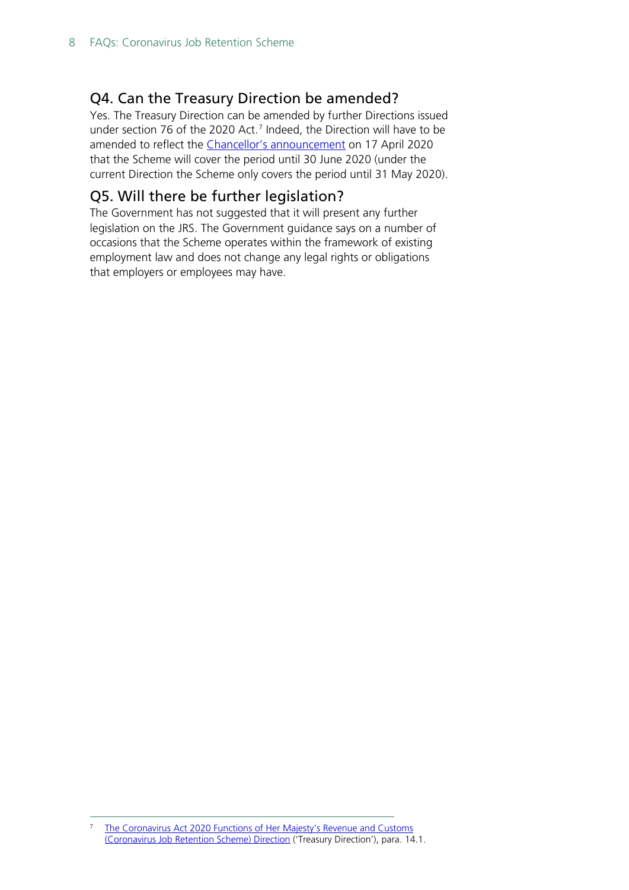#### <span id="page-7-0"></span>Q4. Can the Treasury Direction be amended?

Yes. The Treasury Direction can be amended by further Directions issued under section [7](#page-7-2)6 of the 2020 Act.<sup>7</sup> Indeed, the Direction will have to be amended to reflect the Chancellor's [announcement](https://www.gov.uk/government/news/chancellor-extends-furlough-scheme-to-end-of-june) on 17 April 2020 that the Scheme will cover the period until 30 June 2020 (under the current Direction the Scheme only covers the period until 31 May 2020).

### <span id="page-7-1"></span>Q5. Will there be further legislation?

The Government has not suggested that it will present any further legislation on the JRS. The Government guidance says on a number of occasions that the Scheme operates within the framework of existing employment law and does not change any legal rights or obligations that employers or employees may have.

<span id="page-7-2"></span><sup>7</sup> [The Coronavirus Act 2020 Functions of Her Majesty's Revenue and Customs](https://assets.publishing.service.gov.uk/government/uploads/system/uploads/attachment_data/file/879484/200414_CJRS_DIRECTION_-_33_FINAL_Signed.pdf)  [\(Coronavirus Job Retention Scheme\) Direction](https://assets.publishing.service.gov.uk/government/uploads/system/uploads/attachment_data/file/879484/200414_CJRS_DIRECTION_-_33_FINAL_Signed.pdf) ('Treasury Direction'), para. 14.1.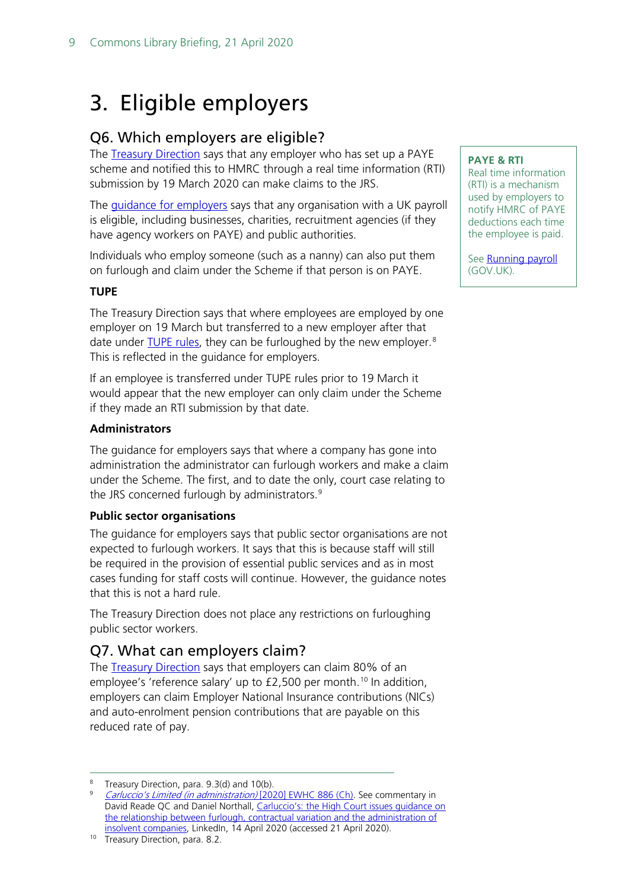## <span id="page-8-0"></span>3. Eligible employers

## <span id="page-8-1"></span>Q6. Which employers are eligible?

The [Treasury Direction](https://assets.publishing.service.gov.uk/government/uploads/system/uploads/attachment_data/file/879484/200414_CJRS_DIRECTION_-_33_FINAL_Signed.pdf) says that any employer who has set up a PAYE scheme and notified this to HMRC through a real time information (RTI) submission by 19 March 2020 can make claims to the JRS.

The quidance for employers says that any organisation with a UK payroll is eligible, including businesses, charities, recruitment agencies (if they have agency workers on PAYE) and public authorities.

Individuals who employ someone (such as a nanny) can also put them on furlough and claim under the Scheme if that person is on PAYE.

#### **TUPE**

The Treasury Direction says that where employees are employed by one employer on 19 March but transferred to a new employer after that date under [TUPE rules,](https://www.gov.uk/transfers-takeovers) they can be furloughed by the new employer.<sup>[8](#page-8-3)</sup> This is reflected in the guidance for employers.

If an employee is transferred under TUPE rules prior to 19 March it would appear that the new employer can only claim under the Scheme if they made an RTI submission by that date.

#### **Administrators**

The guidance for employers says that where a company has gone into administration the administrator can furlough workers and make a claim under the Scheme. The first, and to date the only, court case relating to the JRS concerned furlough by administrators. [9](#page-8-4)

#### **Public sector organisations**

The guidance for employers says that public sector organisations are not expected to furlough workers. It says that this is because staff will still be required in the provision of essential public services and as in most cases funding for staff costs will continue. However, the guidance notes that this is not a hard rule.

The Treasury Direction does not place any restrictions on furloughing public sector workers.

#### <span id="page-8-2"></span>Q7. What can employers claim?

The [Treasury Direction](https://assets.publishing.service.gov.uk/government/uploads/system/uploads/attachment_data/file/879484/200414_CJRS_DIRECTION_-_33_FINAL_Signed.pdf) says that employers can claim 80% of an employee's 'reference salary' up to  $£2,500$  per month.<sup>[10](#page-8-5)</sup> In addition, employers can claim Employer National Insurance contributions (NICs) and auto-enrolment pension contributions that are payable on this reduced rate of pay.

#### **PAYE & RTI**

Real time information (RTI) is a mechanism used by employers to notify HMRC of PAYE deductions each time the employee is paid.

See [Running payroll](https://www.gov.uk/running-payroll) (GOV.UK).

<span id="page-8-4"></span><span id="page-8-3"></span><sup>&</sup>lt;sup>8</sup> Treasury Direction, para. 9.3(d) and 10(b).<br><sup>9</sup> Carluccio's Limited (in administration)[2003

[Carluccio's Limited \(in administration\)](https://www.judiciary.uk/wp-content/uploads/2020/04/Caluccios-Approved-judgment-1.pdf) [2020] EWHC 886 (Ch). See commentary in David Reade QC and Daniel Northall, [Carluccio's: the High Court issues guidance on](https://www.linkedin.com/pulse/carluccios-high-court-issues-guidance-relationship-between-northall?trk=related_artice_Carluccio%E2%80%99s%3A%20the%20High%20Court%20issues%20guidance%20on%20the%20relationship%20between%20furlough%2C%20contractual%20variation%20and%20the%20administration%20of%20insolvent%20companies_article-card_title)  [the relationship between furlough, contractual variation and the administration of](https://www.linkedin.com/pulse/carluccios-high-court-issues-guidance-relationship-between-northall?trk=related_artice_Carluccio%E2%80%99s%3A%20the%20High%20Court%20issues%20guidance%20on%20the%20relationship%20between%20furlough%2C%20contractual%20variation%20and%20the%20administration%20of%20insolvent%20companies_article-card_title)  [insolvent companies,](https://www.linkedin.com/pulse/carluccios-high-court-issues-guidance-relationship-between-northall?trk=related_artice_Carluccio%E2%80%99s%3A%20the%20High%20Court%20issues%20guidance%20on%20the%20relationship%20between%20furlough%2C%20contractual%20variation%20and%20the%20administration%20of%20insolvent%20companies_article-card_title) LinkedIn, 14 April 2020 (accessed 21 April 2020).

<span id="page-8-5"></span><sup>&</sup>lt;sup>10</sup> Treasury Direction, para. 8.2.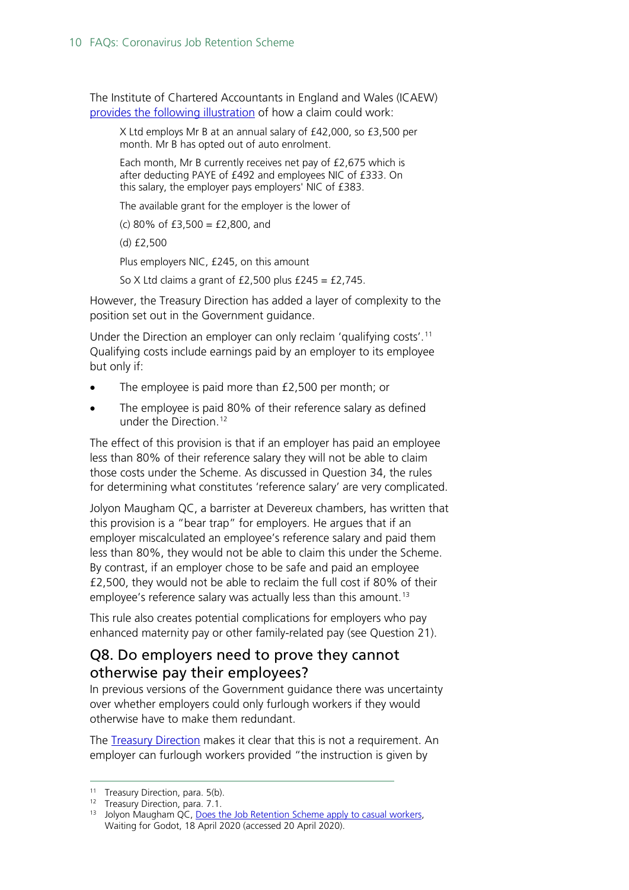The Institute of Chartered Accountants in England and Wales (ICAEW) [provides the following illustration](https://www.icaew.com/insights/viewpoints-on-the-news/2020/mar-2020/coronavirus-job-retention-scheme-furlough-guidance?utm_source=tax_twitter&utm_medium=social&utm_campaign=taxfac_jobsretention_furlough) of how a claim could work:

X Ltd employs Mr B at an annual salary of £42,000, so £3,500 per month. Mr B has opted out of auto enrolment.

Each month, Mr B currently receives net pay of £2,675 which is after deducting PAYE of £492 and employees NIC of £333. On this salary, the employer pays employers' NIC of £383.

The available grant for the employer is the lower of

(c) 80% of £3,500 = £2,800, and

(d) £2,500

Plus employers NIC, £245, on this amount

So X Ltd claims a grant of  $£2,500$  plus  $£245 = £2,745$ .

However, the Treasury Direction has added a layer of complexity to the position set out in the Government guidance.

Under the Direction an employer can only reclaim 'qualifying costs'. [11](#page-9-1) Qualifying costs include earnings paid by an employer to its employee but only if:

- The employee is paid more than £2,500 per month; or
- The employee is paid 80% of their reference salary as defined under the Direction.[12](#page-9-2)

The effect of this provision is that if an employer has paid an employee less than 80% of their reference salary they will not be able to claim those costs under the Scheme. As discussed in Question 34, the rules for determining what constitutes 'reference salary' are very complicated.

Jolyon Maugham QC, a barrister at Devereux chambers, has written that this provision is a "bear trap" for employers. He argues that if an employer miscalculated an employee's reference salary and paid them less than 80%, they would not be able to claim this under the Scheme. By contrast, if an employer chose to be safe and paid an employee £2,500, they would not be able to reclaim the full cost if 80% of their employee's reference salary was actually less than this amount.<sup>[13](#page-9-3)</sup>

This rule also creates potential complications for employers who pay enhanced maternity pay or other family-related pay (see Question 21).

### <span id="page-9-0"></span>Q8. Do employers need to prove they cannot otherwise pay their employees?

In previous versions of the Government guidance there was uncertainty over whether employers could only furlough workers if they would otherwise have to make them redundant.

The [Treasury Direction](https://assets.publishing.service.gov.uk/government/uploads/system/uploads/attachment_data/file/879484/200414_CJRS_DIRECTION_-_33_FINAL_Signed.pdf) makes it clear that this is not a requirement. An employer can furlough workers provided "the instruction is given by

<span id="page-9-2"></span><span id="page-9-1"></span><sup>&</sup>lt;sup>11</sup> Treasury Direction, para. 5(b).

<sup>&</sup>lt;sup>12</sup> Treasury Direction, para. 7.1.

<span id="page-9-3"></span><sup>&</sup>lt;sup>13</sup> Jolyon Maugham QC, Does the Job Retention Scheme apply to casual workers, Waiting for Godot, 18 April 2020 (accessed 20 April 2020).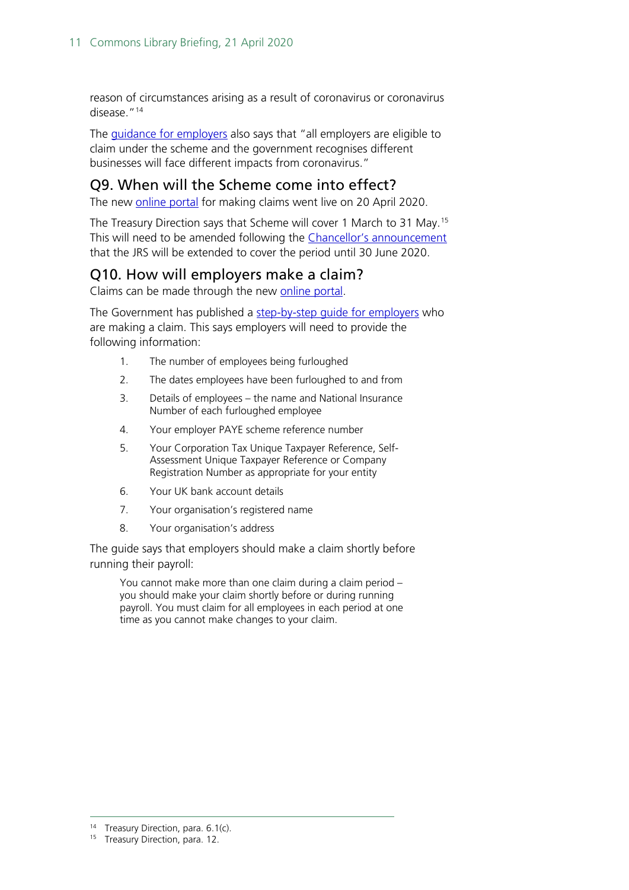reason of circumstances arising as a result of coronavirus or coronavirus disease."[14](#page-10-2)

The [guidance for employers](https://www.gov.uk/guidance/claim-for-wage-costs-through-the-coronavirus-job-retention-scheme) also says that "all employers are eligible to claim under the scheme and the government recognises different businesses will face different impacts from coronavirus."

#### <span id="page-10-0"></span>Q9. When will the Scheme come into effect?

The new **online portal** for making claims went live on 20 April 2020.

The Treasury Direction says that Scheme will cover 1 March to 31 May.[15](#page-10-3) This will need to be amended following the [Chancellor's announcement](https://www.gov.uk/government/news/chancellor-extends-furlough-scheme-to-end-of-june) that the JRS will be extended to cover the period until 30 June 2020.

#### <span id="page-10-1"></span>Q10. How will employers make a claim?

Claims can be made through the new [online portal.](https://www.gov.uk/guidance/claim-for-wages-through-the-coronavirus-job-retention-scheme)

The Government has published a [step-by-step guide for employers](https://assets.publishing.service.gov.uk/government/uploads/system/uploads/attachment_data/file/880092/Coronavirus_Job_Retention_Scheme_step_by_step_guide_for_employers.pdf) who are making a claim. This says employers will need to provide the following information:

- 1. The number of employees being furloughed
- 2. The dates employees have been furloughed to and from
- 3. Details of employees the name and National Insurance Number of each furloughed employee
- 4. Your employer PAYE scheme reference number
- 5. Your Corporation Tax Unique Taxpayer Reference, Self-Assessment Unique Taxpayer Reference or Company Registration Number as appropriate for your entity
- 6. Your UK bank account details
- 7. Your organisation's registered name
- 8. Your organisation's address

The guide says that employers should make a claim shortly before running their payroll:

You cannot make more than one claim during a claim period – you should make your claim shortly before or during running payroll. You must claim for all employees in each period at one time as you cannot make changes to your claim.

<span id="page-10-2"></span><sup>&</sup>lt;sup>14</sup> Treasury Direction, para. 6.1(c).

<span id="page-10-3"></span><sup>&</sup>lt;sup>15</sup> Treasury Direction, para. 12.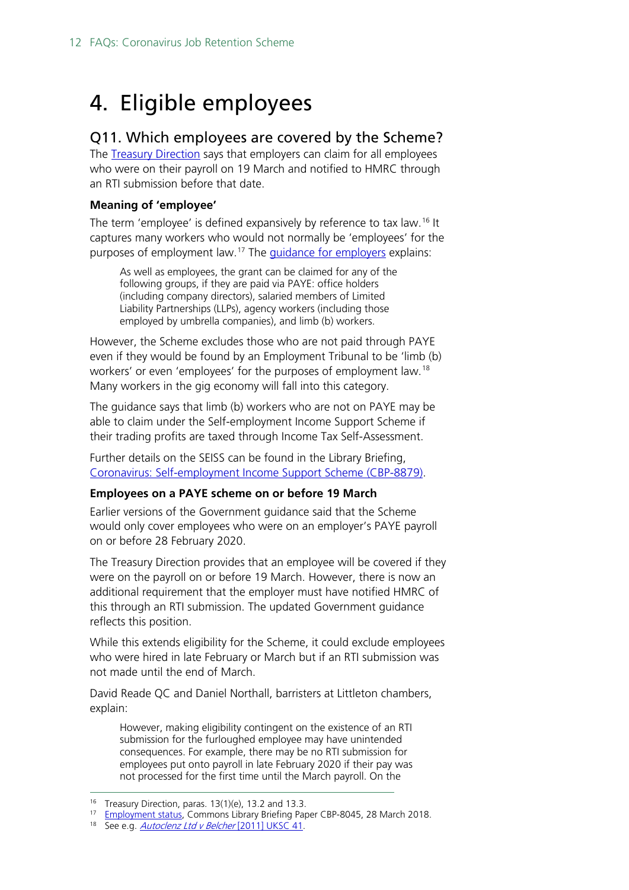## <span id="page-11-0"></span>4. Eligible employees

#### <span id="page-11-1"></span>Q11. Which employees are covered by the Scheme?

The [Treasury Direction](https://assets.publishing.service.gov.uk/government/uploads/system/uploads/attachment_data/file/879484/200414_CJRS_DIRECTION_-_33_FINAL_Signed.pdf) says that employers can claim for all employees who were on their payroll on 19 March and notified to HMRC through an RTI submission before that date.

#### **Meaning of 'employee'**

The term 'employee' is defined expansively by reference to tax law.<sup>[16](#page-11-2)</sup> It captures many workers who would not normally be 'employees' for the purposes of employment law.[17](#page-11-3) The [guidance for employers](https://www.gov.uk/guidance/claim-for-wage-costs-through-the-coronavirus-job-retention-scheme?fbclid=IwAR01rSs4rCE4YS-aLNhIjLHYOFTCyfFai2dDeniRYcWWyaROVwuDDBO1QKo) explains:

As well as employees, the grant can be claimed for any of the following groups, if they are paid via PAYE: office holders (including company directors), salaried members of Limited Liability Partnerships (LLPs), agency workers (including those employed by umbrella companies), and limb (b) workers.

However, the Scheme excludes those who are not paid through PAYE even if they would be found by an Employment Tribunal to be 'limb (b) workers' or even 'employees' for the purposes of employment law.[18](#page-11-4) Many workers in the gig economy will fall into this category.

The guidance says that limb (b) workers who are not on PAYE may be able to claim under the Self-employment Income Support Scheme if their trading profits are taxed through Income Tax Self-Assessment.

Further details on the SEISS can be found in the Library Briefing, [Coronavirus: Self-employment Income Support Scheme \(CBP-8879\).](https://commonslibrary.parliament.uk/research-briefings/cbp-8879/)

#### **Employees on a PAYE scheme on or before 19 March**

Earlier versions of the Government guidance said that the Scheme would only cover employees who were on an employer's PAYE payroll on or before 28 February 2020.

The Treasury Direction provides that an employee will be covered if they were on the payroll on or before 19 March. However, there is now an additional requirement that the employer must have notified HMRC of this through an RTI submission. The updated Government guidance reflects this position.

While this extends eligibility for the Scheme, it could exclude employees who were hired in late February or March but if an RTI submission was not made until the end of March.

David Reade QC and Daniel Northall, barristers at Littleton chambers, explain:

However, making eligibility contingent on the existence of an RTI submission for the furloughed employee may have unintended consequences. For example, there may be no RTI submission for employees put onto payroll in late February 2020 if their pay was not processed for the first time until the March payroll. On the

<span id="page-11-2"></span><sup>&</sup>lt;sup>16</sup> Treasury Direction, paras.  $13(1)(e)$ , 13.2 and 13.3.

<span id="page-11-3"></span><sup>&</sup>lt;sup>17</sup> [Employment status,](https://commonslibrary.parliament.uk/research-briefings/cbp-8045/) Commons Library Briefing Paper CBP-8045, 28 March 2018.

<span id="page-11-4"></span><sup>18</sup> See e.g. *Autoclenz Ltd v Belcher* [2011] UKSC 41.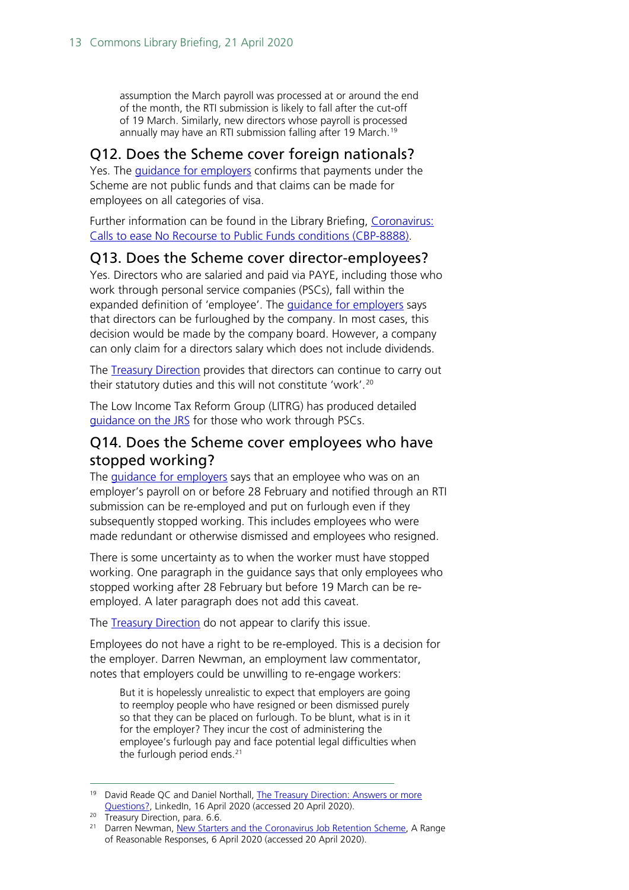assumption the March payroll was processed at or around the end of the month, the RTI submission is likely to fall after the cut-off of 19 March. Similarly, new directors whose payroll is processed annually may have an RTI submission falling after [19](#page-12-3) March.<sup>19</sup>

#### <span id="page-12-0"></span>Q12. Does the Scheme cover foreign nationals?

Yes. The [guidance for employers](https://www.gov.uk/guidance/claim-for-wage-costs-through-the-coronavirus-job-retention-scheme?fbclid=IwAR01rSs4rCE4YS-aLNhIjLHYOFTCyfFai2dDeniRYcWWyaROVwuDDBO1QKo) confirms that payments under the Scheme are not public funds and that claims can be made for employees on all categories of visa.

Further information can be found in the Library Briefing, Coronavirus: [Calls to ease No Recourse to Public Funds conditions \(CBP-8888\).](https://commonslibrary.parliament.uk/research-briefings/cbp-8888/)

#### <span id="page-12-1"></span>Q13. Does the Scheme cover director-employees?

Yes. Directors who are salaried and paid via PAYE, including those who work through personal service companies (PSCs), fall within the expanded definition of 'employee'. The [guidance for employers](https://www.gov.uk/guidance/claim-for-wage-costs-through-the-coronavirus-job-retention-scheme?fbclid=IwAR01rSs4rCE4YS-aLNhIjLHYOFTCyfFai2dDeniRYcWWyaROVwuDDBO1QKo) says that directors can be furloughed by the company. In most cases, this decision would be made by the company board. However, a company can only claim for a directors salary which does not include dividends.

The [Treasury Direction](https://assets.publishing.service.gov.uk/government/uploads/system/uploads/attachment_data/file/879484/200414_CJRS_DIRECTION_-_33_FINAL_Signed.pdf) provides that directors can continue to carry out their statutory duties and this will not constitute 'work'.[20](#page-12-4)

The Low Income Tax Reform Group (LITRG) has produced detailed [guidance on the JRS](https://www.litrg.org.uk/latest-news/news/200408-im-director-my-own-limited-company-what-support-there-me) for those who work through PSCs.

#### <span id="page-12-2"></span>Q14. Does the Scheme cover employees who have stopped working?

The [guidance for employers](https://www.gov.uk/guidance/claim-for-wage-costs-through-the-coronavirus-job-retention-scheme?fbclid=IwAR01rSs4rCE4YS-aLNhIjLHYOFTCyfFai2dDeniRYcWWyaROVwuDDBO1QKo) says that an employee who was on an employer's payroll on or before 28 February and notified through an RTI submission can be re-employed and put on furlough even if they subsequently stopped working. This includes employees who were made redundant or otherwise dismissed and employees who resigned.

There is some uncertainty as to when the worker must have stopped working. One paragraph in the guidance says that only employees who stopped working after 28 February but before 19 March can be reemployed. A later paragraph does not add this caveat.

The [Treasury Direction](https://assets.publishing.service.gov.uk/government/uploads/system/uploads/attachment_data/file/879484/200414_CJRS_DIRECTION_-_33_FINAL_Signed.pdf) do not appear to clarify this issue.

Employees do not have a right to be re-employed. This is a decision for the employer. Darren Newman, an employment law commentator, notes that employers could be unwilling to re-engage workers:

But it is hopelessly unrealistic to expect that employers are going to reemploy people who have resigned or been dismissed purely so that they can be placed on furlough. To be blunt, what is in it for the employer? They incur the cost of administering the employee's furlough pay and face potential legal difficulties when the furlough period ends.<sup>[21](#page-12-5)</sup>

<span id="page-12-3"></span><sup>&</sup>lt;sup>19</sup> David Reade OC and Daniel Northall, The Treasury Direction: Answers or more [Questions?,](https://www.linkedin.com/pulse/treasury-direction-answers-more-questions-daniel-northall/) LinkedIn, 16 April 2020 (accessed 20 April 2020).

<sup>&</sup>lt;sup>20</sup> Treasury Direction, para. 6.6.

<span id="page-12-5"></span><span id="page-12-4"></span><sup>&</sup>lt;sup>21</sup> Darren Newman, [New Starters and the Coronavirus Job Retention Scheme,](https://rangeofreasonableresponses.com/2020/04/06/new-starters-and-the-coronavirus-job-retention-scheme/) A Range of Reasonable Responses, 6 April 2020 (accessed 20 April 2020).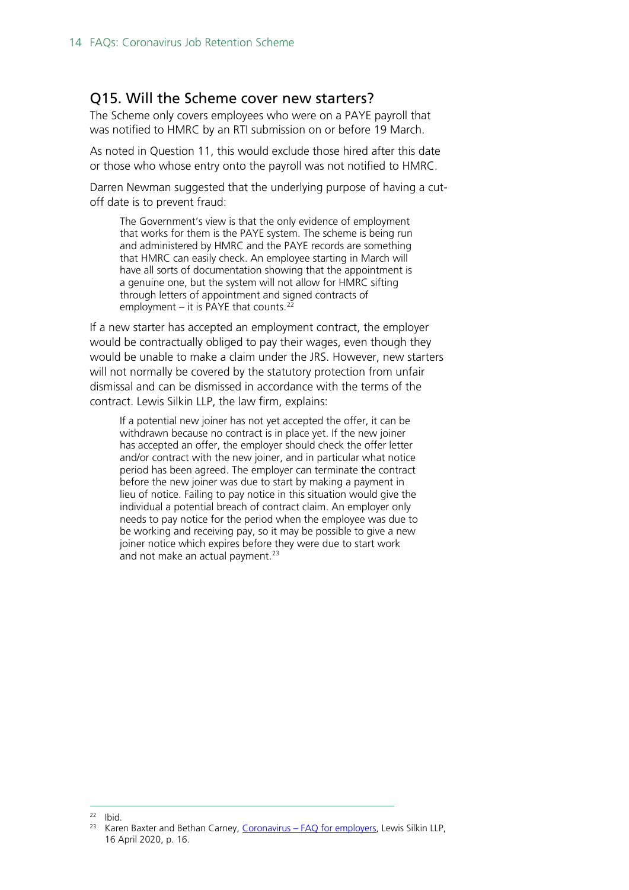#### <span id="page-13-0"></span>Q15. Will the Scheme cover new starters?

The Scheme only covers employees who were on a PAYE payroll that was notified to HMRC by an RTI submission on or before 19 March.

As noted in Question 11, this would exclude those hired after this date or those who whose entry onto the payroll was not notified to HMRC.

Darren Newman suggested that the underlying purpose of having a cutoff date is to prevent fraud:

The Government's view is that the only evidence of employment that works for them is the PAYE system. The scheme is being run and administered by HMRC and the PAYE records are something that HMRC can easily check. An employee starting in March will have all sorts of documentation showing that the appointment is a genuine one, but the system will not allow for HMRC sifting through letters of appointment and signed contracts of employment – it is PAYE that counts. $22$ 

If a new starter has accepted an employment contract, the employer would be contractually obliged to pay their wages, even though they would be unable to make a claim under the JRS. However, new starters will not normally be covered by the statutory protection from unfair dismissal and can be dismissed in accordance with the terms of the contract. Lewis Silkin LLP, the law firm, explains:

If a potential new joiner has not yet accepted the offer, it can be withdrawn because no contract is in place yet. If the new joiner has accepted an offer, the employer should check the offer letter and/or contract with the new joiner, and in particular what notice period has been agreed. The employer can terminate the contract before the new joiner was due to start by making a payment in lieu of notice. Failing to pay notice in this situation would give the individual a potential breach of contract claim. An employer only needs to pay notice for the period when the employee was due to be working and receiving pay, so it may be possible to give a new joiner notice which expires before they were due to start work and not make an actual payment.<sup>[23](#page-13-2)</sup>

<span id="page-13-1"></span> $22$  Ibid.

<span id="page-13-2"></span><sup>&</sup>lt;sup>23</sup> Karen Baxter and Bethan Carney, Coronavirus – [FAQ for employers,](https://www.lewissilkin.com/en/insights/coronavirus-faqs-for-employers) Lewis Silkin LLP, 16 April 2020, p. 16.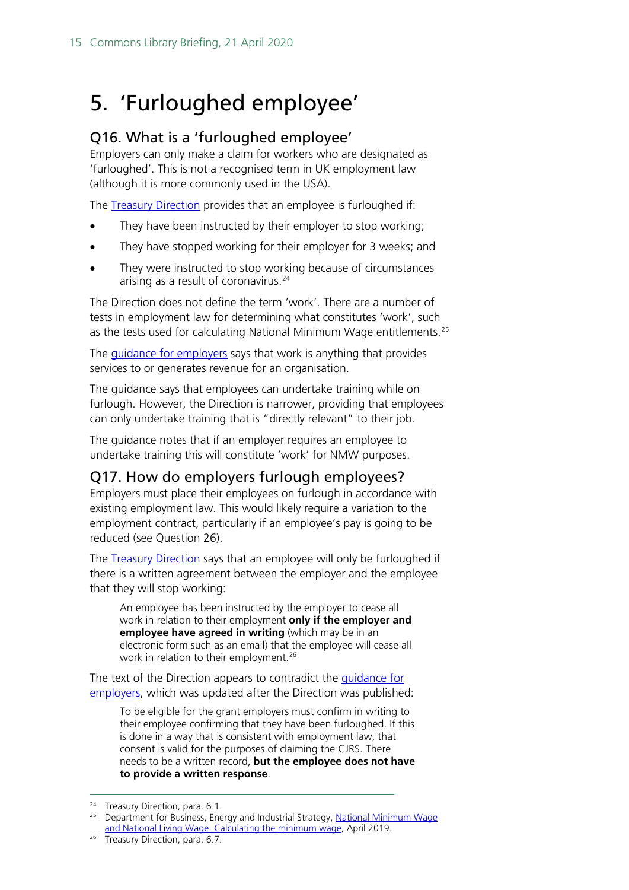## <span id="page-14-0"></span>5. 'Furloughed employee'

## <span id="page-14-1"></span>Q16. What is a 'furloughed employee'

Employers can only make a claim for workers who are designated as 'furloughed'. This is not a recognised term in UK employment law (although it is more commonly used in the USA).

The [Treasury Direction](https://assets.publishing.service.gov.uk/government/uploads/system/uploads/attachment_data/file/879484/200414_CJRS_DIRECTION_-_33_FINAL_Signed.pdf) provides that an employee is furloughed if:

- They have been instructed by their employer to stop working;
- They have stopped working for their employer for 3 weeks; and
- They were instructed to stop working because of circumstances arising as a result of coronavirus. [24](#page-14-3)

The Direction does not define the term 'work'. There are a number of tests in employment law for determining what constitutes 'work', such as the tests used for calculating National Minimum Wage entitlements.<sup>[25](#page-14-4)</sup>

The [guidance for employers](https://www.gov.uk/guidance/claim-for-wage-costs-through-the-coronavirus-job-retention-scheme?fbclid=IwAR01rSs4rCE4YS-aLNhIjLHYOFTCyfFai2dDeniRYcWWyaROVwuDDBO1QKo) says that work is anything that provides services to or generates revenue for an organisation.

The guidance says that employees can undertake training while on furlough. However, the Direction is narrower, providing that employees can only undertake training that is "directly relevant" to their job.

The guidance notes that if an employer requires an employee to undertake training this will constitute 'work' for NMW purposes.

## <span id="page-14-2"></span>Q17. How do employers furlough employees?

Employers must place their employees on furlough in accordance with existing employment law. This would likely require a variation to the employment contract, particularly if an employee's pay is going to be reduced (see Question 26).

The [Treasury Direction](https://assets.publishing.service.gov.uk/government/uploads/system/uploads/attachment_data/file/879484/200414_CJRS_DIRECTION_-_33_FINAL_Signed.pdf) says that an employee will only be furloughed if there is a written agreement between the employer and the employee that they will stop working:

An employee has been instructed by the employer to cease all work in relation to their employment **only if the employer and employee have agreed in writing** (which may be in an electronic form such as an email) that the employee will cease all work in relation to their employment.<sup>[26](#page-14-5)</sup>

The text of the Direction appears to contradict the [guidance for](https://www.gov.uk/guidance/claim-for-wage-costs-through-the-coronavirus-job-retention-scheme?fbclid=IwAR01rSs4rCE4YS-aLNhIjLHYOFTCyfFai2dDeniRYcWWyaROVwuDDBO1QKo)  [employers,](https://www.gov.uk/guidance/claim-for-wage-costs-through-the-coronavirus-job-retention-scheme?fbclid=IwAR01rSs4rCE4YS-aLNhIjLHYOFTCyfFai2dDeniRYcWWyaROVwuDDBO1QKo) which was updated after the Direction was published:

To be eligible for the grant employers must confirm in writing to their employee confirming that they have been furloughed. If this is done in a way that is consistent with employment law, that consent is valid for the purposes of claiming the CJRS. There needs to be a written record, **but the employee does not have to provide a written response**.

<span id="page-14-3"></span><sup>&</sup>lt;sup>24</sup> Treasury Direction, para. 6.1.

<span id="page-14-4"></span><sup>&</sup>lt;sup>25</sup> Department for Business, Energy and Industrial Strategy, National Minimum Wage [and National Living Wage: Calculating the minimum wage,](https://assets.publishing.service.gov.uk/government/uploads/system/uploads/attachment_data/file/835794/calculating-minimum-wage-guidance-april-2019.pdf) April 2019.

<span id="page-14-5"></span><sup>&</sup>lt;sup>26</sup> Treasury Direction, para. 6.7.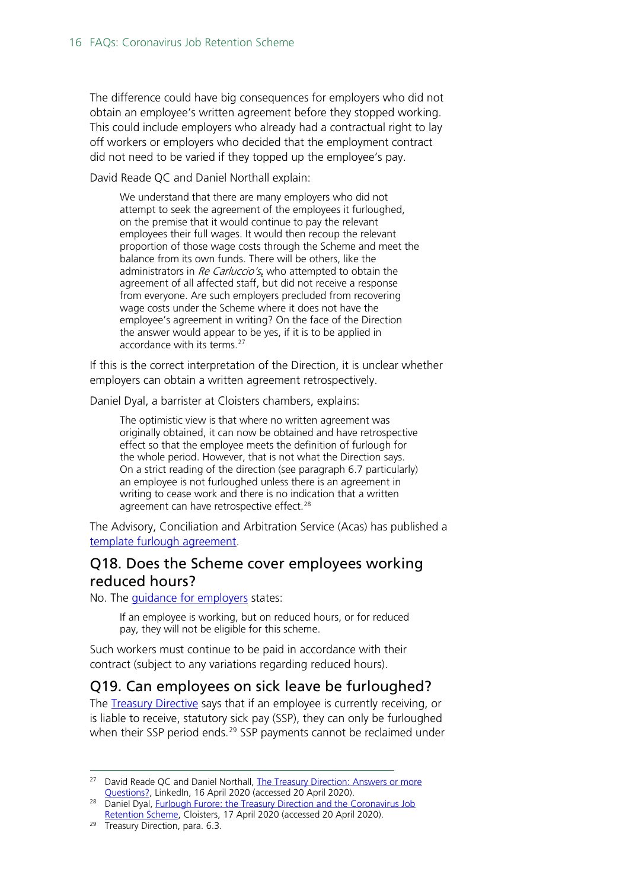The difference could have big consequences for employers who did not obtain an employee's written agreement before they stopped working. This could include employers who already had a contractual right to lay off workers or employers who decided that the employment contract did not need to be varied if they topped up the employee's pay.

David Reade QC and Daniel Northall explain:

We understand that there are many employers who did not attempt to seek the agreement of the employees it furloughed, on the premise that it would continue to pay the relevant employees their full wages. It would then recoup the relevant proportion of those wage costs through the Scheme and meet the balance from its own funds. There will be others, like the administrators in Re Carluccio's*,* who attempted to obtain the agreement of all affected staff, but did not receive a response from everyone. Are such employers precluded from recovering wage costs under the Scheme where it does not have the employee's agreement in writing? On the face of the Direction the answer would appear to be yes, if it is to be applied in accordance with its terms.<sup>[27](#page-15-2)</sup>

If this is the correct interpretation of the Direction, it is unclear whether employers can obtain a written agreement retrospectively.

Daniel Dyal, a barrister at Cloisters chambers, explains:

The optimistic view is that where no written agreement was originally obtained, it can now be obtained and have retrospective effect so that the employee meets the definition of furlough for the whole period. However, that is not what the Direction says. On a strict reading of the direction (see paragraph 6.7 particularly) an employee is not furloughed unless there is an agreement in writing to cease work and there is no indication that a written agreement can have retrospective effect.<sup>[28](#page-15-3)</sup>

The Advisory, Conciliation and Arbitration Service (Acas) has published a [template furlough agreement.](https://www.acas.org.uk/furlough-letter-template)

#### <span id="page-15-0"></span>Q18. Does the Scheme cover employees working reduced hours?

No. The [guidance for employers](https://www.gov.uk/guidance/claim-for-wage-costs-through-the-coronavirus-job-retention-scheme?fbclid=IwAR01rSs4rCE4YS-aLNhIjLHYOFTCyfFai2dDeniRYcWWyaROVwuDDBO1QKo) states:

If an employee is working, but on reduced hours, or for reduced pay, they will not be eligible for this scheme.

Such workers must continue to be paid in accordance with their contract (subject to any variations regarding reduced hours).

<span id="page-15-1"></span>Q19. Can employees on sick leave be furloughed? The [Treasury Directive](https://assets.publishing.service.gov.uk/government/uploads/system/uploads/attachment_data/file/879484/200414_CJRS_DIRECTION_-_33_FINAL_Signed.pdf) says that if an employee is currently receiving, or is liable to receive, statutory sick pay (SSP), they can only be furloughed when their SSP period ends.<sup>[29](#page-15-4)</sup> SSP payments cannot be reclaimed under

<span id="page-15-2"></span><sup>&</sup>lt;sup>27</sup> David Reade QC and Daniel Northall, The Treasury Direction: Answers or more [Questions?,](https://www.linkedin.com/pulse/treasury-direction-answers-more-questions-daniel-northall/) LinkedIn, 16 April 2020 (accessed 20 April 2020).

<span id="page-15-3"></span><sup>&</sup>lt;sup>28</sup> Daniel Dyal, Furlough Furore: the Treasury Direction and the Coronavirus Job [Retention Scheme,](https://www.cloisters.com/furlough-furore-the-treasury-direction-and-the-coronavirus-job-retention-scheme/) Cloisters, 17 April 2020 (accessed 20 April 2020).

<span id="page-15-4"></span><sup>&</sup>lt;sup>29</sup> Treasury Direction, para. 6.3.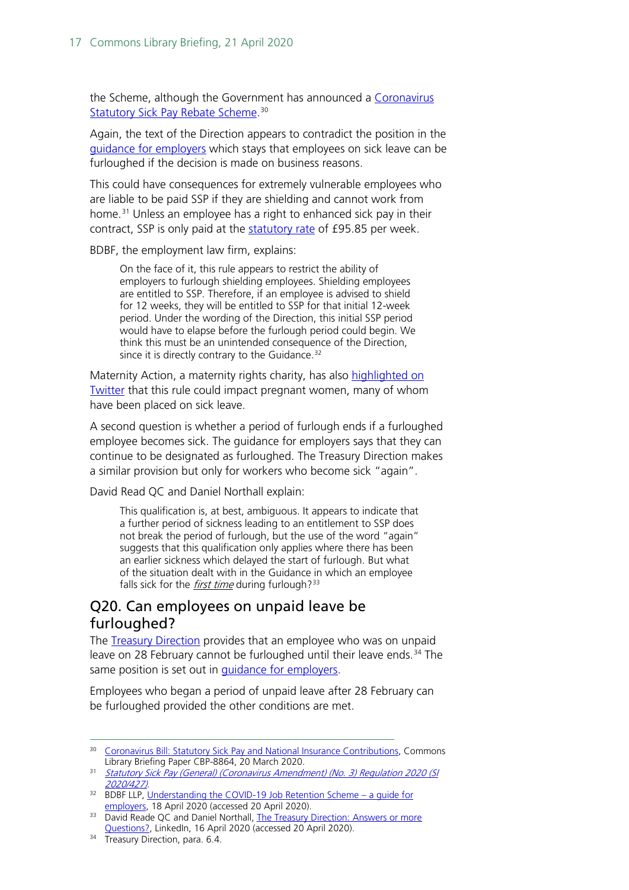the Scheme, although the Government has announced a Coronavirus [Statutory Sick Pay Rebate Scheme.](https://www.gov.uk/guidance/claim-back-statutory-sick-pay-paid-to-employees-due-to-coronavirus-covid-19)<sup>[30](#page-16-1)</sup>

Again, the text of the Direction appears to contradict the position in the [guidance for employers](https://www.gov.uk/guidance/claim-for-wage-costs-through-the-coronavirus-job-retention-scheme?fbclid=IwAR01rSs4rCE4YS-aLNhIjLHYOFTCyfFai2dDeniRYcWWyaROVwuDDBO1QKo) which stays that employees on sick leave can be furloughed if the decision is made on business reasons.

This could have consequences for extremely vulnerable employees who are liable to be paid SSP if they are shielding and cannot work from home.<sup>[31](#page-16-2)</sup> Unless an employee has a right to enhanced sick pay in their contract, SSP is only paid at the [statutory rate](https://www.gov.uk/guidance/rates-and-thresholds-for-employers-2020-to-2021#statutory-sick-pay-ssp) of £95.85 per week.

BDBF, the employment law firm, explains:

On the face of it, this rule appears to restrict the ability of employers to furlough shielding employees. Shielding employees are entitled to SSP. Therefore, if an employee is advised to shield for 12 weeks, they will be entitled to SSP for that initial 12-week period. Under the wording of the Direction, this initial SSP period would have to elapse before the furlough period could begin. We think this must be an unintended consequence of the Direction, since it is directly contrary to the Guidance.<sup>[32](#page-16-3)</sup>

Maternity Action, a maternity rights charity, has also highlighted on [Twitter](https://twitter.com/MaternityAction/status/1250830535267500033) that this rule could impact pregnant women, many of whom have been placed on sick leave.

A second question is whether a period of furlough ends if a furloughed employee becomes sick. The guidance for employers says that they can continue to be designated as furloughed. The Treasury Direction makes a similar provision but only for workers who become sick "again".

David Read QC and Daniel Northall explain:

This qualification is, at best, ambiguous. It appears to indicate that a further period of sickness leading to an entitlement to SSP does not break the period of furlough, but the use of the word "again" suggests that this qualification only applies where there has been an earlier sickness which delayed the start of furlough. But what of the situation dealt with in the Guidance in which an employee falls sick for the *first time* during furlough? $33$ 

#### <span id="page-16-0"></span>Q20. Can employees on unpaid leave be furloughed?

The **Treasury Direction** provides that an employee who was on unpaid leave on 28 February cannot be furloughed until their leave ends.<sup>[34](#page-16-5)</sup> The same position is set out in [guidance for employers.](https://www.gov.uk/guidance/claim-for-wage-costs-through-the-coronavirus-job-retention-scheme?fbclid=IwAR01rSs4rCE4YS-aLNhIjLHYOFTCyfFai2dDeniRYcWWyaROVwuDDBO1QKo)

Employees who began a period of unpaid leave after 28 February can be furloughed provided the other conditions are met.

<span id="page-16-1"></span><sup>&</sup>lt;sup>30</sup> [Coronavirus Bill: Statutory Sick Pay and National Insurance Contributions,](https://commonslibrary.parliament.uk/research-briefings/cbp-8864/) Commons Library Briefing Paper CBP-8864, 20 March 2020.

<span id="page-16-2"></span><sup>&</sup>lt;sup>31</sup> Statutory Sick Pay (General) (Coronavirus Amendment) (No. 3) Regulation 2020 (SI<br>2020/427)

<span id="page-16-3"></span> $32$  BDBF LLP, Understanding the COVID-19 Job Retention Scheme – a guide for [employers,](https://www.bdbf.co.uk/wp-content/uploads/2020/04/Detailed-briefing-on-the-COVID-19-Job-Retention-Scheme-18-April-2020.pdf) 18 April 2020 (accessed 20 April 2020).

<span id="page-16-4"></span><sup>&</sup>lt;sup>33</sup> David Reade QC and Daniel Northall, The Treasury Direction: Answers or more [Questions?,](https://www.linkedin.com/pulse/treasury-direction-answers-more-questions-daniel-northall/) LinkedIn, 16 April 2020 (accessed 20 April 2020).

<span id="page-16-5"></span><sup>&</sup>lt;sup>34</sup> Treasury Direction, para. 6.4.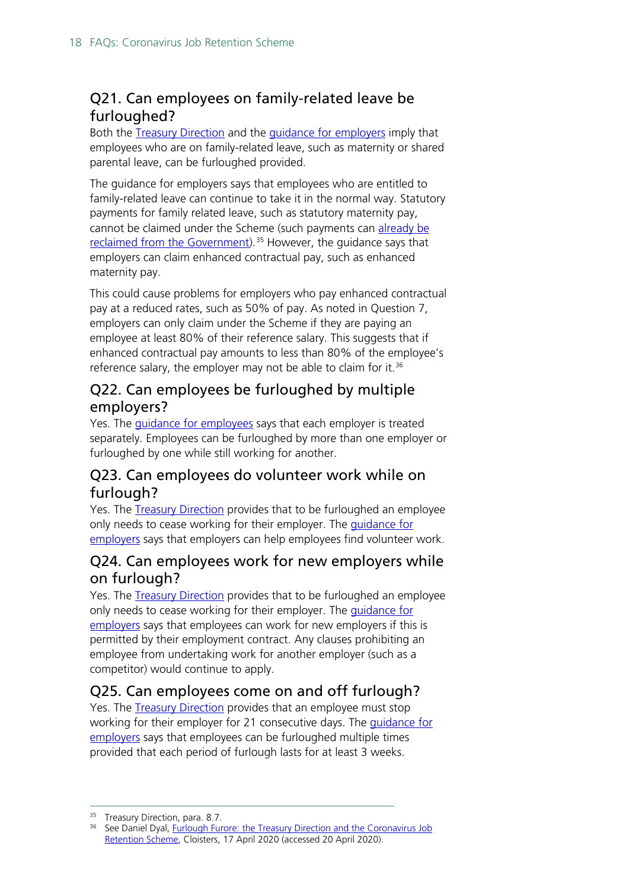## <span id="page-17-0"></span>Q21. Can employees on family-related leave be furloughed?

Both the [Treasury Direction](https://assets.publishing.service.gov.uk/government/uploads/system/uploads/attachment_data/file/879484/200414_CJRS_DIRECTION_-_33_FINAL_Signed.pdf) and the [guidance for employers](https://www.gov.uk/guidance/claim-for-wage-costs-through-the-coronavirus-job-retention-scheme?fbclid=IwAR01rSs4rCE4YS-aLNhIjLHYOFTCyfFai2dDeniRYcWWyaROVwuDDBO1QKo) imply that employees who are on family-related leave, such as maternity or shared parental leave, can be furloughed provided.

The guidance for employers says that employees who are entitled to family-related leave can continue to take it in the normal way. Statutory payments for family related leave, such as statutory maternity pay, cannot be claimed under the Scheme (such payments can [already be](https://www.gov.uk/recover-statutory-payments)  [reclaimed from the Government\)](https://www.gov.uk/recover-statutory-payments).<sup>[35](#page-17-5)</sup> However, the quidance says that employers can claim enhanced contractual pay, such as enhanced maternity pay.

This could cause problems for employers who pay enhanced contractual pay at a reduced rates, such as 50% of pay. As noted in Question 7, employers can only claim under the Scheme if they are paying an employee at least 80% of their reference salary. This suggests that if enhanced contractual pay amounts to less than 80% of the employee's reference salary, the employer may not be able to claim for it.<sup>[36](#page-17-6)</sup>

## <span id="page-17-1"></span>Q22. Can employees be furloughed by multiple employers?

Yes. The [guidance for](https://www.gov.uk/guidance/claim-for-wage-costs-through-the-coronavirus-job-retention-scheme?fbclid=IwAR01rSs4rCE4YS-aLNhIjLHYOFTCyfFai2dDeniRYcWWyaROVwuDDBO1QKo) employees says that each employer is treated separately. Employees can be furloughed by more than one employer or furloughed by one while still working for another.

### <span id="page-17-2"></span>Q23. Can employees do volunteer work while on furlough?

Yes. The [Treasury Direction](https://assets.publishing.service.gov.uk/government/uploads/system/uploads/attachment_data/file/879484/200414_CJRS_DIRECTION_-_33_FINAL_Signed.pdf) provides that to be furloughed an employee only needs to cease working for their employer. The quidance for [employers](https://www.gov.uk/guidance/claim-for-wage-costs-through-the-coronavirus-job-retention-scheme?fbclid=IwAR01rSs4rCE4YS-aLNhIjLHYOFTCyfFai2dDeniRYcWWyaROVwuDDBO1QKo) says that employers can help employees find volunteer work.

### <span id="page-17-3"></span>Q24. Can employees work for new employers while on furlough?

Yes. The **Treasury Direction** provides that to be furloughed an employee only needs to cease working for their employer. The [guidance for](https://www.gov.uk/guidance/claim-for-wage-costs-through-the-coronavirus-job-retention-scheme?fbclid=IwAR01rSs4rCE4YS-aLNhIjLHYOFTCyfFai2dDeniRYcWWyaROVwuDDBO1QKo)  [employers](https://www.gov.uk/guidance/claim-for-wage-costs-through-the-coronavirus-job-retention-scheme?fbclid=IwAR01rSs4rCE4YS-aLNhIjLHYOFTCyfFai2dDeniRYcWWyaROVwuDDBO1QKo) says that employees can work for new employers if this is permitted by their employment contract. Any clauses prohibiting an employee from undertaking work for another employer (such as a competitor) would continue to apply.

## <span id="page-17-4"></span>Q25. Can employees come on and off furlough?

Yes. The [Treasury Direction](https://assets.publishing.service.gov.uk/government/uploads/system/uploads/attachment_data/file/879484/200414_CJRS_DIRECTION_-_33_FINAL_Signed.pdf) provides that an employee must stop working for their employer for 21 consecutive days. The [guidance for](https://www.gov.uk/guidance/claim-for-wage-costs-through-the-coronavirus-job-retention-scheme?fbclid=IwAR01rSs4rCE4YS-aLNhIjLHYOFTCyfFai2dDeniRYcWWyaROVwuDDBO1QKo)  [employers](https://www.gov.uk/guidance/claim-for-wage-costs-through-the-coronavirus-job-retention-scheme?fbclid=IwAR01rSs4rCE4YS-aLNhIjLHYOFTCyfFai2dDeniRYcWWyaROVwuDDBO1QKo) says that employees can be furloughed multiple times provided that each period of furlough lasts for at least 3 weeks.

<span id="page-17-5"></span><sup>&</sup>lt;sup>35</sup> Treasury Direction, para. 8.7.

<span id="page-17-6"></span><sup>&</sup>lt;sup>36</sup> See Daniel Dyal, Furlough Furore: the Treasury Direction and the Coronavirus Job [Retention Scheme,](https://www.cloisters.com/furlough-furore-the-treasury-direction-and-the-coronavirus-job-retention-scheme/) Cloisters, 17 April 2020 (accessed 20 April 2020).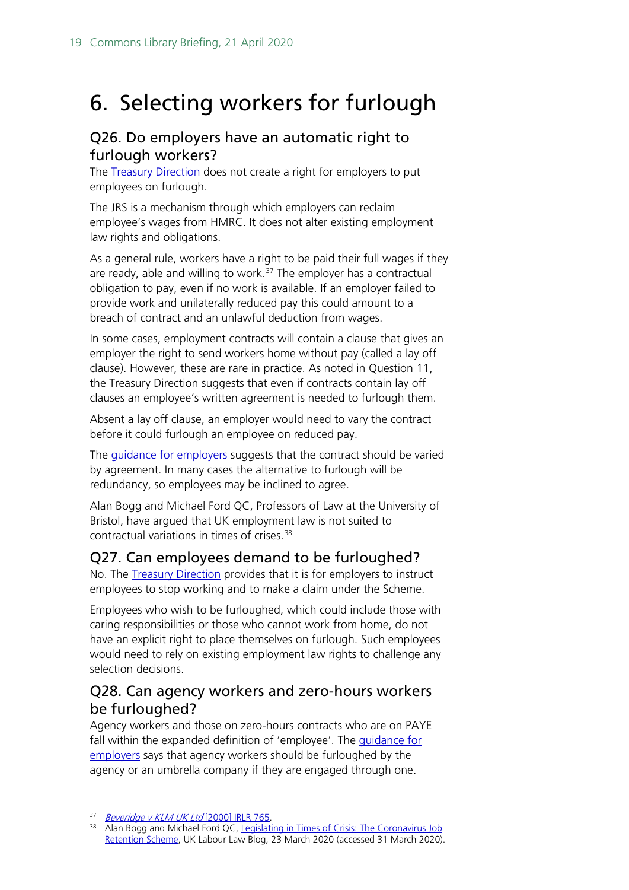## <span id="page-18-0"></span>6. Selecting workers for furlough

#### <span id="page-18-1"></span>Q26. Do employers have an automatic right to furlough workers?

The [Treasury Direction](https://assets.publishing.service.gov.uk/government/uploads/system/uploads/attachment_data/file/879484/200414_CJRS_DIRECTION_-_33_FINAL_Signed.pdf) does not create a right for employers to put employees on furlough.

The JRS is a mechanism through which employers can reclaim employee's wages from HMRC. It does not alter existing employment law rights and obligations.

As a general rule, workers have a right to be paid their full wages if they are ready, able and willing to work. $37$  The employer has a contractual obligation to pay, even if no work is available. If an employer failed to provide work and unilaterally reduced pay this could amount to a breach of contract and an unlawful deduction from wages.

In some cases, employment contracts will contain a clause that gives an employer the right to send workers home without pay (called a lay off clause). However, these are rare in practice. As noted in Question 11, the Treasury Direction suggests that even if contracts contain lay off clauses an employee's written agreement is needed to furlough them.

Absent a lay off clause, an employer would need to vary the contract before it could furlough an employee on reduced pay.

The [guidance for employers](https://www.gov.uk/guidance/claim-for-wage-costs-through-the-coronavirus-job-retention-scheme?fbclid=IwAR01rSs4rCE4YS-aLNhIjLHYOFTCyfFai2dDeniRYcWWyaROVwuDDBO1QKo) suggests that the contract should be varied by agreement. In many cases the alternative to furlough will be redundancy, so employees may be inclined to agree.

Alan Bogg and Michael Ford QC, Professors of Law at the University of Bristol, have argued that UK employment law is not suited to contractual variations in times of crises.[38](#page-18-5)

### <span id="page-18-2"></span>Q27. Can employees demand to be furloughed?

No. The [Treasury Direction](https://assets.publishing.service.gov.uk/government/uploads/system/uploads/attachment_data/file/879484/200414_CJRS_DIRECTION_-_33_FINAL_Signed.pdf) provides that it is for employers to instruct employees to stop working and to make a claim under the Scheme.

Employees who wish to be furloughed, which could include those with caring responsibilities or those who cannot work from home, do not have an explicit right to place themselves on furlough. Such employees would need to rely on existing employment law rights to challenge any selection decisions.

### <span id="page-18-3"></span>Q28. Can agency workers and zero-hours workers be furloughed?

Agency workers and those on zero-hours contracts who are on PAYE fall within the expanded definition of 'employee'. The [guidance for](https://www.gov.uk/guidance/claim-for-wage-costs-through-the-coronavirus-job-retention-scheme?fbclid=IwAR01rSs4rCE4YS-aLNhIjLHYOFTCyfFai2dDeniRYcWWyaROVwuDDBO1QKo)  [employers](https://www.gov.uk/guidance/claim-for-wage-costs-through-the-coronavirus-job-retention-scheme?fbclid=IwAR01rSs4rCE4YS-aLNhIjLHYOFTCyfFai2dDeniRYcWWyaROVwuDDBO1QKo) says that agency workers should be furloughed by the agency or an umbrella company if they are engaged through one.

<span id="page-18-4"></span><sup>37</sup> [Beveridge v KLM UK Ltd](https://www.bailii.org/uk/cases/UKEAT/2000/1044_99_1602.html) [2000] IRLR 765.

<span id="page-18-5"></span><sup>&</sup>lt;sup>38</sup> Alan Bogg and Michael Ford OC, Legislating in Times of Crisis: The Coronavirus Job [Retention Scheme,](https://uklabourlawblog.com/2020/03/23/legislating-in-times-of-crisis-the-coronavirus-job-retention-scheme-by-alan-bogg-and-michael-ford/) UK Labour Law Blog, 23 March 2020 (accessed 31 March 2020).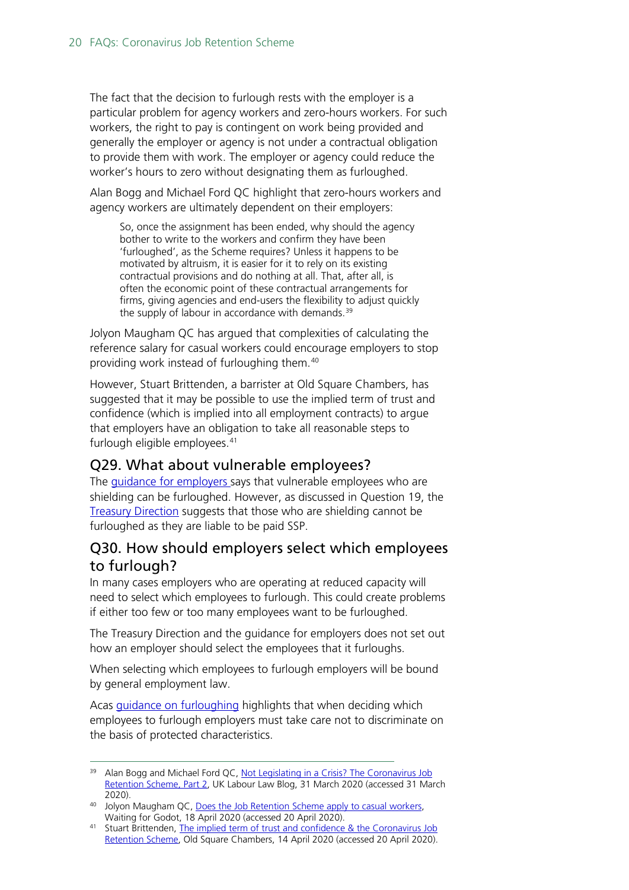The fact that the decision to furlough rests with the employer is a particular problem for agency workers and zero-hours workers. For such workers, the right to pay is contingent on work being provided and generally the employer or agency is not under a contractual obligation to provide them with work. The employer or agency could reduce the worker's hours to zero without designating them as furloughed.

Alan Bogg and Michael Ford QC highlight that zero-hours workers and agency workers are ultimately dependent on their employers:

So, once the assignment has been ended, why should the agency bother to write to the workers and confirm they have been 'furloughed', as the Scheme requires? Unless it happens to be motivated by altruism, it is easier for it to rely on its existing contractual provisions and do nothing at all. That, after all, is often the economic point of these contractual arrangements for firms, giving agencies and end-users the flexibility to adjust quickly the supply of labour in accordance with demands.<sup>[39](#page-19-2)</sup>

Jolyon Maugham QC has argued that complexities of calculating the reference salary for casual workers could encourage employers to stop providing work instead of furloughing them.<sup>[40](#page-19-3)</sup>

However, Stuart Brittenden, a barrister at Old Square Chambers, has suggested that it may be possible to use the implied term of trust and confidence (which is implied into all employment contracts) to argue that employers have an obligation to take all reasonable steps to furlough eligible employees. [41](#page-19-4)

#### <span id="page-19-0"></span>Q29. What about vulnerable employees?

The [guidance for employers s](https://www.gov.uk/guidance/claim-for-wage-costs-through-the-coronavirus-job-retention-scheme?fbclid=IwAR01rSs4rCE4YS-aLNhIjLHYOFTCyfFai2dDeniRYcWWyaROVwuDDBO1QKo)ays that vulnerable employees who are shielding can be furloughed. However, as discussed in Question 19, the [Treasury Direction](https://assets.publishing.service.gov.uk/government/uploads/system/uploads/attachment_data/file/879484/200414_CJRS_DIRECTION_-_33_FINAL_Signed.pdf) suggests that those who are shielding cannot be furloughed as they are liable to be paid SSP.

#### <span id="page-19-1"></span>Q30. How should employers select which employees to furlough?

In many cases employers who are operating at reduced capacity will need to select which employees to furlough. This could create problems if either too few or too many employees want to be furloughed.

The Treasury Direction and the guidance for employers does not set out how an employer should select the employees that it furloughs.

When selecting which employees to furlough employers will be bound by general employment law.

Acas [guidance on furloughing](https://www.acas.org.uk/coronavirus/furlough-closing-workplaces) highlights that when deciding which employees to furlough employers must take care not to discriminate on the basis of protected characteristics.

<span id="page-19-2"></span><sup>&</sup>lt;sup>39</sup> Alan Bogg and Michael Ford QC, Not Legislating in a Crisis? The Coronavirus Job [Retention Scheme, Part 2,](https://uklabourlawblog.com/2020/03/31/not-legislating-in-a-crisis-the-coronavirus-job-retention-scheme-part-2-by-michael-ford-and-alan-bogg/) UK Labour Law Blog, 31 March 2020 (accessed 31 March 2020).

<span id="page-19-3"></span><sup>40</sup> Jolyon Maugham QC, Does the Job Retention Scheme apply to casual workers, Waiting for Godot, 18 April 2020 (accessed 20 April 2020).

<span id="page-19-4"></span><sup>&</sup>lt;sup>41</sup> Stuart Brittenden, The implied term of trust and confidence & the Coronavirus Job [Retention Scheme,](http://www.oldsquare.co.uk/images/uploads/news-and-media/JRS_Blog_14.4.20_SB.pdf) Old Square Chambers, 14 April 2020 (accessed 20 April 2020).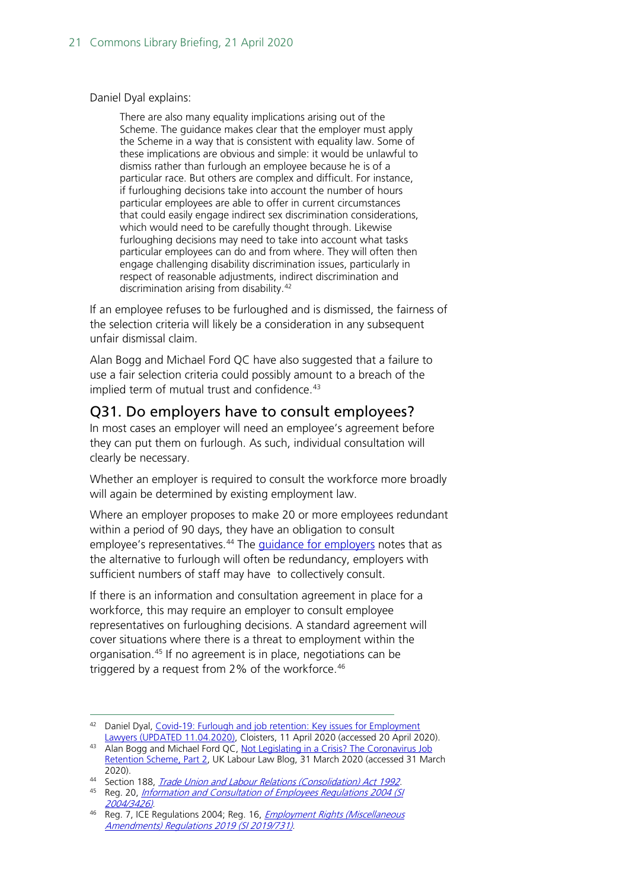#### Daniel Dyal explains:

There are also many equality implications arising out of the Scheme. The guidance makes clear that the employer must apply the Scheme in a way that is consistent with equality law. Some of these implications are obvious and simple: it would be unlawful to dismiss rather than furlough an employee because he is of a particular race. But others are complex and difficult. For instance, if furloughing decisions take into account the number of hours particular employees are able to offer in current circumstances that could easily engage indirect sex discrimination considerations, which would need to be carefully thought through. Likewise furloughing decisions may need to take into account what tasks particular employees can do and from where. They will often then engage challenging disability discrimination issues, particularly in respect of reasonable adjustments, indirect discrimination and discrimination arising from disability.[42](#page-20-1)

If an employee refuses to be furloughed and is dismissed, the fairness of the selection criteria will likely be a consideration in any subsequent unfair dismissal claim.

Alan Bogg and Michael Ford QC have also suggested that a failure to use a fair selection criteria could possibly amount to a breach of the implied term of mutual trust and confidence. $43$ 

#### <span id="page-20-0"></span>Q31. Do employers have to consult employees?

In most cases an employer will need an employee's agreement before they can put them on furlough. As such, individual consultation will clearly be necessary.

Whether an employer is required to consult the workforce more broadly will again be determined by existing employment law.

Where an employer proposes to make 20 or more employees redundant within a period of 90 days, they have an obligation to consult employee's representatives.<sup>44</sup> The *guidance for employers* notes that as the alternative to furlough will often be redundancy, employers with sufficient numbers of staff may have to collectively consult.

If there is an information and consultation agreement in place for a workforce, this may require an employer to consult employee representatives on furloughing decisions. A standard agreement will cover situations where there is a threat to employment within the organisation.[45](#page-20-4) If no agreement is in place, negotiations can be triggered by a request from 2% of the workforce.<sup>[46](#page-20-5)</sup>

<span id="page-20-1"></span><sup>42</sup> Daniel Dyal, Covid-19: Furlough and job retention: Key issues for Employment [Lawyers \(UPDATED 11.04.2020\),](https://www.cloisters.com/furlough-job-retention-scheme/) Cloisters, 11 April 2020 (accessed 20 April 2020).

<span id="page-20-2"></span><sup>43</sup> Alan Bogg and Michael Ford QC, Not Legislating in a Crisis? The Coronavirus Job [Retention Scheme, Part 2,](https://uklabourlawblog.com/2020/03/31/not-legislating-in-a-crisis-the-coronavirus-job-retention-scheme-part-2-by-michael-ford-and-alan-bogg/) UK Labour Law Blog, 31 March 2020 (accessed 31 March 2020).

<sup>44</sup> Section 188, *[Trade Union and Labour Relations \(Consolidation\) Act 1992](http://www.legislation.gov.uk/ukpga/1992/52/section/188)* 

<span id="page-20-4"></span><span id="page-20-3"></span><sup>&</sup>lt;sup>45</sup> Reg. 20, *Information and Consultation of Employees Regulations 2004 (SI* [2004/3426\).](http://www.legislation.gov.uk/uksi/2004/3426/contents/made)

<span id="page-20-5"></span><sup>&</sup>lt;sup>46</sup> Reg. 7, ICE Regulations 2004; Reg. 16, *Employment Rights (Miscellaneous* [Amendments\) Regulations 2019 \(SI 2019/731\).](http://www.legislation.gov.uk/uksi/2019/731/contents/made)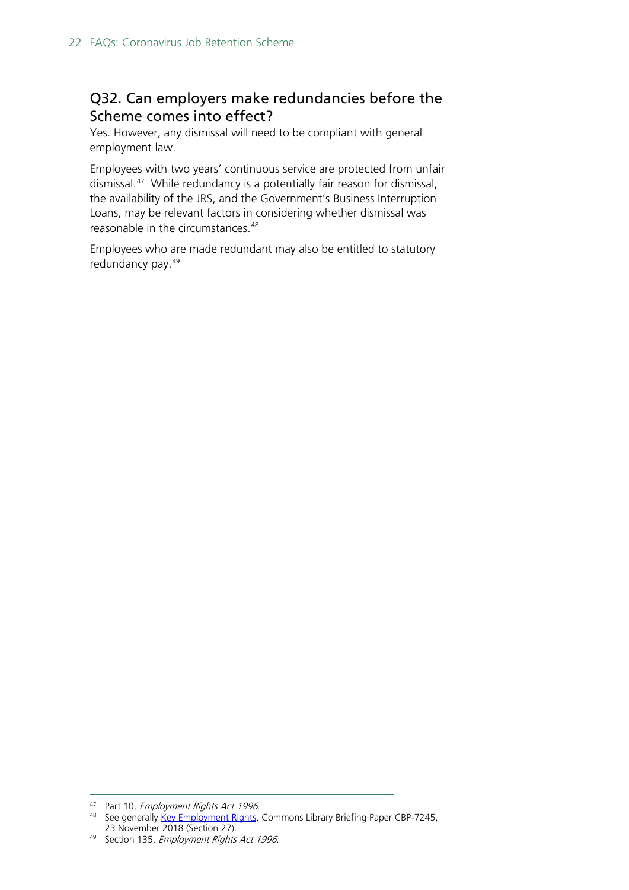## <span id="page-21-0"></span>Q32. Can employers make redundancies before the Scheme comes into effect?

Yes. However, any dismissal will need to be compliant with general employment law.

Employees with two years' continuous service are protected from unfair dismissal.[47](#page-21-1) While redundancy is a potentially fair reason for dismissal, the availability of the JRS, and the Government's Business Interruption Loans, may be relevant factors in considering whether dismissal was reasonable in the circumstances.[48](#page-21-2)

Employees who are made redundant may also be entitled to statutory redundancy pay.[49](#page-21-3)

<span id="page-21-1"></span><sup>47</sup> Part 10, Employment Rights Act 1996.

<span id="page-21-2"></span><sup>48</sup> See generally [Key Employment Rights,](https://commonslibrary.parliament.uk/research-briefings/cbp-7245/#fullreport) Commons Library Briefing Paper CBP-7245, 23 November 2018 (Section 27).

<span id="page-21-3"></span><sup>49</sup> Section 135, Employment Rights Act 1996.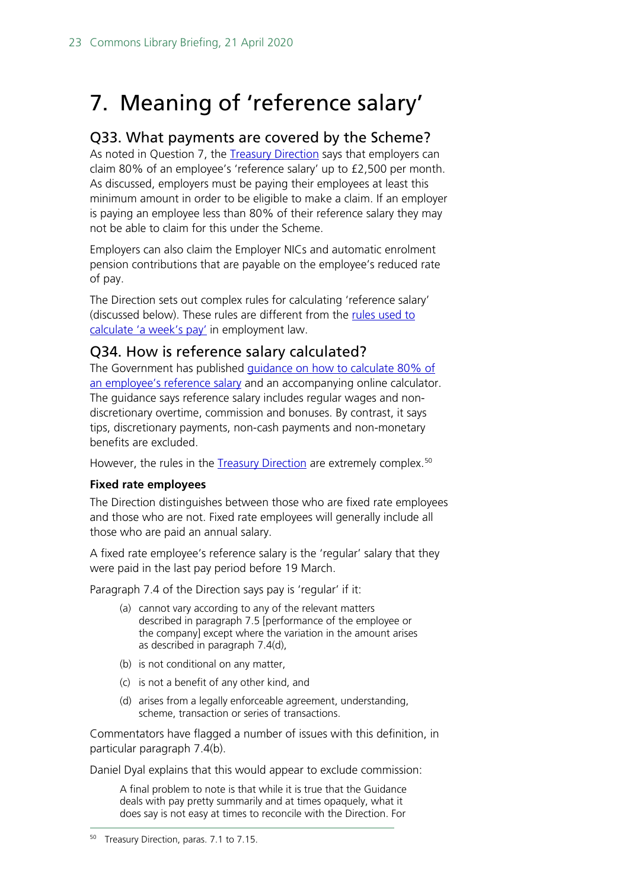## <span id="page-22-0"></span>7. Meaning of 'reference salary'

#### <span id="page-22-1"></span>Q33. What payments are covered by the Scheme?

As noted in Question 7, the [Treasury Direction](https://assets.publishing.service.gov.uk/government/uploads/system/uploads/attachment_data/file/879484/200414_CJRS_DIRECTION_-_33_FINAL_Signed.pdf) says that employers can claim 80% of an employee's 'reference salary' up to £2,500 per month. As discussed, employers must be paying their employees at least this minimum amount in order to be eligible to make a claim. If an employer is paying an employee less than 80% of their reference salary they may not be able to claim for this under the Scheme.

Employers can also claim the Employer NICs and automatic enrolment pension contributions that are payable on the employee's reduced rate of pay.

The Direction sets out complex rules for calculating 'reference salary' (discussed below). These rules are different from the [rules used to](https://www.gov.uk/understanding-your-pay/working-out-your-pay)  [calculate 'a week's pay'](https://www.gov.uk/understanding-your-pay/working-out-your-pay) in employment law.

#### <span id="page-22-2"></span>Q34. How is reference salary calculated?

The Government has published [guidance on how to calculate 80% of](https://www.gov.uk/guidance/work-out-80-of-your-employees-wages-to-claim-through-the-coronavirus-job-retention-scheme)  [an employee's reference salary](https://www.gov.uk/guidance/work-out-80-of-your-employees-wages-to-claim-through-the-coronavirus-job-retention-scheme) and an accompanying online calculator. The guidance says reference salary includes regular wages and nondiscretionary overtime, commission and bonuses. By contrast, it says tips, discretionary payments, non-cash payments and non-monetary benefits are excluded.

However, the rules in the **Treasury Direction** are extremely complex.<sup>[50](#page-22-3)</sup>

#### **Fixed rate employees**

The Direction distinguishes between those who are fixed rate employees and those who are not. Fixed rate employees will generally include all those who are paid an annual salary.

A fixed rate employee's reference salary is the 'regular' salary that they were paid in the last pay period before 19 March.

Paragraph 7.4 of the Direction says pay is 'regular' if it:

- (a) cannot vary according to any of the relevant matters described in paragraph 7.5 [performance of the employee or the company] except where the variation in the amount arises as described in paragraph 7.4(d),
- (b) is not conditional on any matter,
- (c) is not a benefit of any other kind, and
- (d) arises from a legally enforceable agreement, understanding, scheme, transaction or series of transactions.

Commentators have flagged a number of issues with this definition, in particular paragraph 7.4(b).

Daniel Dyal explains that this would appear to exclude commission:

A final problem to note is that while it is true that the Guidance deals with pay pretty summarily and at times opaquely, what it does say is not easy at times to reconcile with the Direction. For

<span id="page-22-3"></span><sup>&</sup>lt;sup>50</sup> Treasury Direction, paras. 7.1 to 7.15.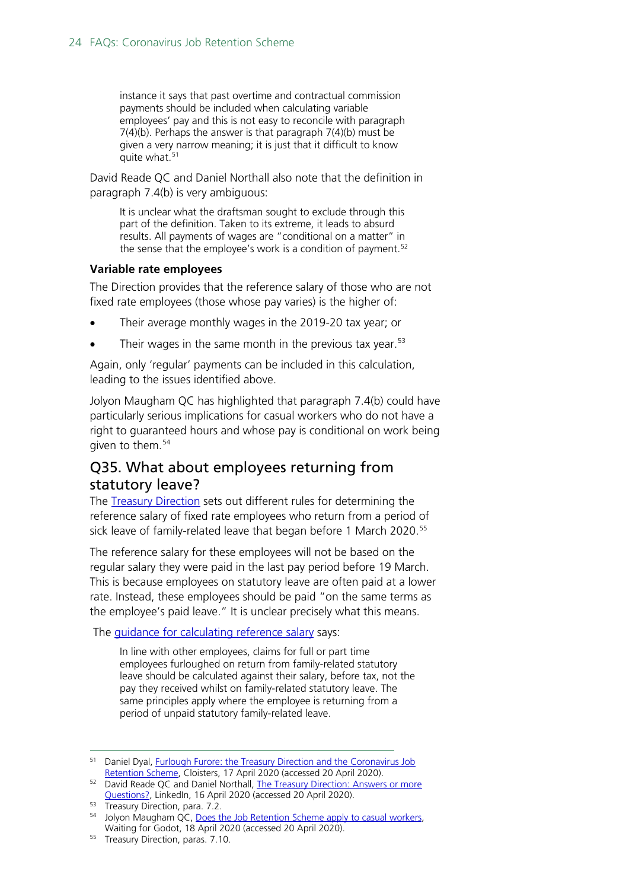instance it says that past overtime and contractual commission payments should be included when calculating variable employees' pay and this is not easy to reconcile with paragraph 7(4)(b). Perhaps the answer is that paragraph 7(4)(b) must be given a very narrow meaning; it is just that it difficult to know quite what.<sup>[51](#page-23-1)</sup>

David Reade QC and Daniel Northall also note that the definition in paragraph 7.4(b) is very ambiguous:

It is unclear what the draftsman sought to exclude through this part of the definition. Taken to its extreme, it leads to absurd results. All payments of wages are "conditional on a matter" in the sense that the employee's work is a condition of payment.<sup>[52](#page-23-2)</sup>

#### **Variable rate employees**

The Direction provides that the reference salary of those who are not fixed rate employees (those whose pay varies) is the higher of:

- Their average monthly wages in the 2019-20 tax year; or
- Their wages in the same month in the previous tax year.<sup>[53](#page-23-3)</sup>

Again, only 'regular' payments can be included in this calculation, leading to the issues identified above.

Jolyon Maugham QC has highlighted that paragraph 7.4(b) could have particularly serious implications for casual workers who do not have a right to guaranteed hours and whose pay is conditional on work being given to them.<sup>[54](#page-23-4)</sup>

#### <span id="page-23-0"></span>Q35. What about employees returning from statutory leave?

The [Treasury Direction](https://assets.publishing.service.gov.uk/government/uploads/system/uploads/attachment_data/file/879484/200414_CJRS_DIRECTION_-_33_FINAL_Signed.pdf) sets out different rules for determining the reference salary of fixed rate employees who return from a period of sick leave of family-related leave that began before 1 March 2020.<sup>[55](#page-23-5)</sup>

The reference salary for these employees will not be based on the regular salary they were paid in the last pay period before 19 March. This is because employees on statutory leave are often paid at a lower rate. Instead, these employees should be paid "on the same terms as the employee's paid leave." It is unclear precisely what this means.

The [guidance for calculating reference salary](https://www.gov.uk/guidance/work-out-80-of-your-employees-wages-to-claim-through-the-coronavirus-job-retention-scheme) says:

In line with other employees, claims for full or part time employees furloughed on return from family-related statutory leave should be calculated against their salary, before tax, not the pay they received whilst on family-related statutory leave. The same principles apply where the employee is returning from a period of unpaid statutory family-related leave.

<span id="page-23-5"></span><sup>55</sup> Treasury Direction, paras. 7.10.

<span id="page-23-1"></span><sup>51</sup> Daniel Dyal, Furlough Furore: the Treasury Direction and the Coronavirus Job [Retention Scheme,](https://www.cloisters.com/furlough-furore-the-treasury-direction-and-the-coronavirus-job-retention-scheme/) Cloisters, 17 April 2020 (accessed 20 April 2020).

<span id="page-23-2"></span><sup>&</sup>lt;sup>52</sup> David Reade QC and Daniel Northall, The Treasury Direction: Answers or more [Questions?,](https://www.linkedin.com/pulse/treasury-direction-answers-more-questions-daniel-northall/) LinkedIn, 16 April 2020 (accessed 20 April 2020).

<span id="page-23-3"></span><sup>53</sup> Treasury Direction, para. 7.2.

<span id="page-23-4"></span><sup>&</sup>lt;sup>54</sup> Jolyon Maugham QC, Does the Job Retention Scheme apply to casual workers, Waiting for Godot, 18 April 2020 (accessed 20 April 2020).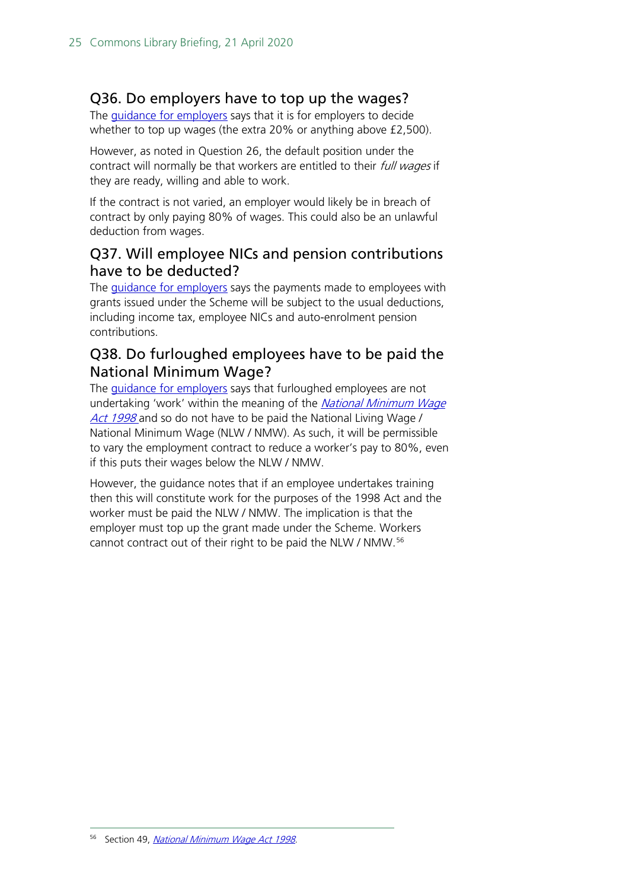## <span id="page-24-0"></span>Q36. Do employers have to top up the wages?

The **guidance for employers** says that it is for employers to decide whether to top up wages (the extra 20% or anything above £2,500).

However, as noted in Question 26, the default position under the contract will normally be that workers are entitled to their *full wages* if they are ready, willing and able to work.

If the contract is not varied, an employer would likely be in breach of contract by only paying 80% of wages. This could also be an unlawful deduction from wages.

## <span id="page-24-1"></span>Q37. Will employee NICs and pension contributions have to be deducted?

The [guidance for employers](https://www.gov.uk/guidance/claim-for-wage-costs-through-the-coronavirus-job-retention-scheme?fbclid=IwAR01rSs4rCE4YS-aLNhIjLHYOFTCyfFai2dDeniRYcWWyaROVwuDDBO1QKo) says the payments made to employees with grants issued under the Scheme will be subject to the usual deductions, including income tax, employee NICs and auto-enrolment pension contributions.

## <span id="page-24-2"></span>Q38. Do furloughed employees have to be paid the National Minimum Wage?

The [guidance for employers](https://www.gov.uk/guidance/claim-for-wage-costs-through-the-coronavirus-job-retention-scheme?fbclid=IwAR01rSs4rCE4YS-aLNhIjLHYOFTCyfFai2dDeniRYcWWyaROVwuDDBO1QKo) says that furloughed employees are not undertaking 'work' within the meaning of the National Minimum Wage [Act 1998](http://www.legislation.gov.uk/ukpga/1998/39/contents) and so do not have to be paid the National Living Wage / National Minimum Wage (NLW / NMW). As such, it will be permissible to vary the employment contract to reduce a worker's pay to 80%, even if this puts their wages below the NLW / NMW.

<span id="page-24-3"></span>However, the guidance notes that if an employee undertakes training then this will constitute work for the purposes of the 1998 Act and the worker must be paid the NLW / NMW. The implication is that the employer must top up the grant made under the Scheme. Workers cannot contract out of their right to be paid the NLW / NMW.[56](#page-24-3)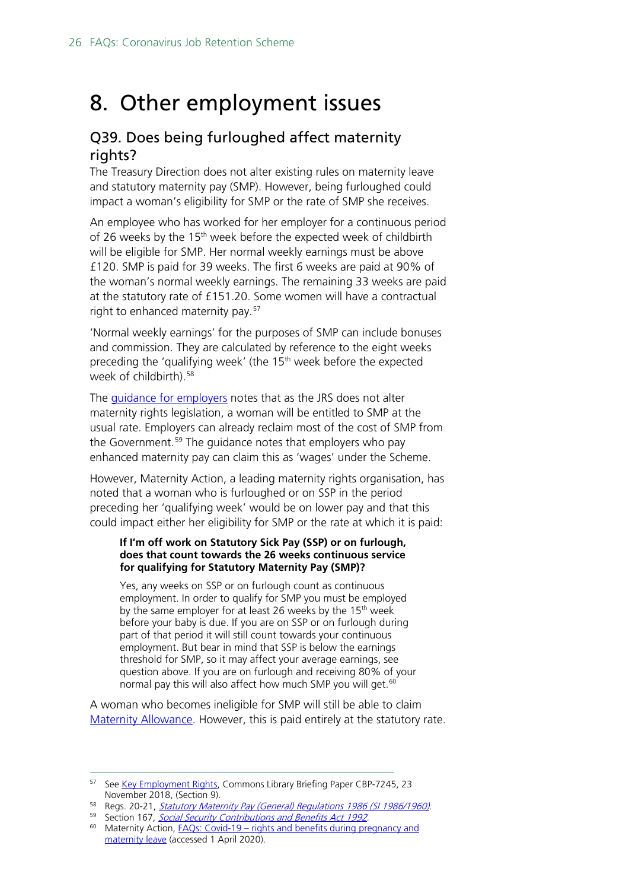## <span id="page-25-0"></span>8. Other employment issues

### <span id="page-25-1"></span>Q39. Does being furloughed affect maternity rights?

The Treasury Direction does not alter existing rules on maternity leave and statutory maternity pay (SMP). However, being furloughed could impact a woman's eligibility for SMP or the rate of SMP she receives.

An employee who has worked for her employer for a continuous period of 26 weeks by the 15<sup>th</sup> week before the expected week of childbirth will be eligible for SMP. Her normal weekly earnings must be above £120. SMP is paid for 39 weeks. The first 6 weeks are paid at 90% of the woman's normal weekly earnings. The remaining 33 weeks are paid at the statutory rate of £151.20. Some women will have a contractual right to enhanced maternity pay.<sup>[57](#page-25-2)</sup>

'Normal weekly earnings' for the purposes of SMP can include bonuses and commission. They are calculated by reference to the eight weeks preceding the 'qualifying week' (the  $15<sup>th</sup>$  week before the expected week of childbirth).<sup>[58](#page-25-3)</sup>

The [guidance for employers](https://www.gov.uk/guidance/claim-for-wage-costs-through-the-coronavirus-job-retention-scheme?fbclid=IwAR01rSs4rCE4YS-aLNhIjLHYOFTCyfFai2dDeniRYcWWyaROVwuDDBO1QKo) notes that as the JRS does not alter maternity rights legislation, a woman will be entitled to SMP at the usual rate. Employers can already reclaim most of the cost of SMP from the Government.<sup>[59](#page-25-4)</sup> The guidance notes that employers who pay enhanced maternity pay can claim this as 'wages' under the Scheme.

However, Maternity Action, a leading maternity rights organisation, has noted that a woman who is furloughed or on SSP in the period preceding her 'qualifying week' would be on lower pay and that this could impact either her eligibility for SMP or the rate at which it is paid:

#### **If I'm off work on Statutory Sick Pay (SSP) or on furlough, does that count towards the 26 weeks continuous service for qualifying for Statutory Maternity Pay (SMP)?**

Yes, any weeks on SSP or on furlough count as continuous employment. In order to qualify for SMP you must be employed by the same employer for at least 26 weeks by the 15<sup>th</sup> week before your baby is due. If you are on SSP or on furlough during part of that period it will still count towards your continuous employment. But bear in mind that SSP is below the earnings threshold for SMP, so it may affect your average earnings, see question above. If you are on furlough and receiving 80% of your normal pay this will also affect how much SMP you will get.<sup>[60](#page-25-5)</sup>

A woman who becomes ineligible for SMP will still be able to claim [Maternity Allowance.](https://www.gov.uk/maternity-allowance) However, this is paid entirely at the statutory rate.

<span id="page-25-2"></span><sup>&</sup>lt;sup>57</sup> See [Key Employment Rights,](https://commonslibrary.parliament.uk/research-briefings/cbp-7245/#fullreport) Commons Library Briefing Paper CBP-7245, 23 November 2018, (Section 9).

<span id="page-25-3"></span><sup>58</sup> Regs. 20-21, **[Statutory Maternity Pay \(General\) Regulations 1986 \(SI 1986/1960\)](http://www.legislation.gov.uk/uksi/1986/1960/contents)**.

<span id="page-25-4"></span><sup>&</sup>lt;sup>59</sup> Section 167, *[Social Security Contributions and Benefits Act 1992](http://www.legislation.gov.uk/ukpga/1992/4/contents)* 

<span id="page-25-5"></span> $60$  Maternity Action, FAOs: Covid-19 – rights and benefits during pregnancy and [maternity leave](https://maternityaction.org.uk/covidmaternityfaqs/) (accessed 1 April 2020).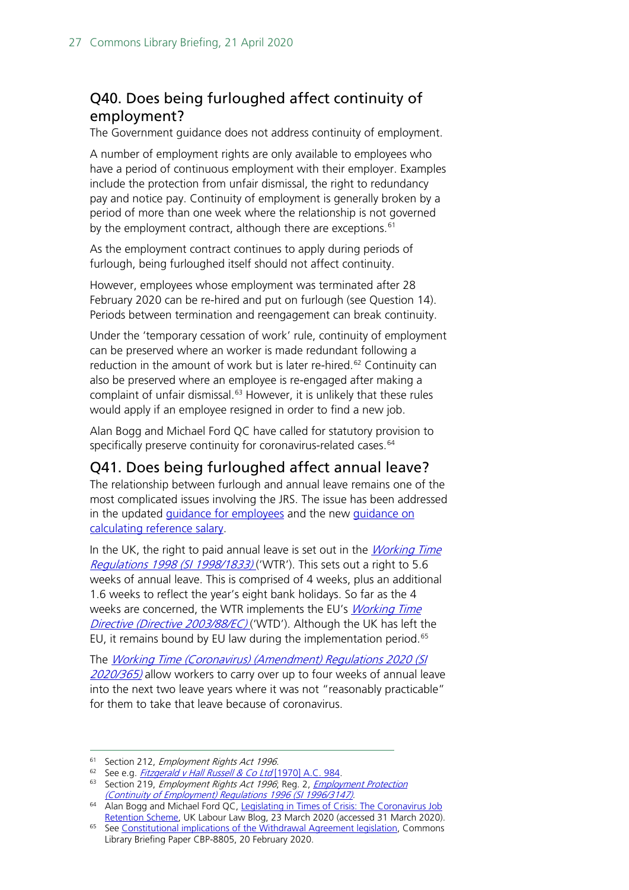## <span id="page-26-0"></span>Q40. Does being furloughed affect continuity of employment?

The Government guidance does not address continuity of employment.

A number of employment rights are only available to employees who have a period of continuous employment with their employer. Examples include the protection from unfair dismissal, the right to redundancy pay and notice pay. Continuity of employment is generally broken by a period of more than one week where the relationship is not governed by the employment contract, although there are exceptions.<sup>[61](#page-26-2)</sup>

As the employment contract continues to apply during periods of furlough, being furloughed itself should not affect continuity.

However, employees whose employment was terminated after 28 February 2020 can be re-hired and put on furlough (see Question 14). Periods between termination and reengagement can break continuity.

Under the 'temporary cessation of work' rule, continuity of employment can be preserved where an worker is made redundant following a reduction in the amount of work but is later re-hired.<sup>[62](#page-26-3)</sup> Continuity can also be preserved where an employee is re-engaged after making a complaint of unfair dismissal.<sup>[63](#page-26-4)</sup> However, it is unlikely that these rules would apply if an employee resigned in order to find a new job.

Alan Bogg and Michael Ford QC have called for statutory provision to specifically preserve continuity for coronavirus-related cases.<sup>[64](#page-26-5)</sup>

### <span id="page-26-1"></span>Q41. Does being furloughed affect annual leave?

The relationship between furlough and annual leave remains one of the most complicated issues involving the JRS. The issue has been addressed in the updated *guidance for employees* and the new *guidance on* [calculating reference salary.](https://www.gov.uk/guidance/work-out-80-of-your-employees-wages-to-claim-through-the-coronavirus-job-retention-scheme)

In the UK, the right to paid annual leave is set out in the *Working Time* [Regulations 1998 \(SI 1998/1833\)](http://www.legislation.gov.uk/uksi/1998/1833/contents/made) ('WTR'). This sets out a right to 5.6 weeks of annual leave. This is comprised of 4 weeks, plus an additional 1.6 weeks to reflect the year's eight bank holidays. So far as the 4 weeks are concerned, the WTR implements the EU's *Working Time* [Directive \(Directive 2003/88/EC\)](https://eur-lex.europa.eu/legal-content/EN/TXT/?uri=celex%3A32003L0088) ('WTD'). Although the UK has left the EU, it remains bound by EU law during the implementation period.<sup>[65](#page-26-6)</sup>

The [Working Time \(Coronavirus\) \(Amendment\) Regulations 2020 \(SI](http://www.legislation.gov.uk/uksi/2020/365/contents/made)  [2020/365\)](http://www.legislation.gov.uk/uksi/2020/365/contents/made) allow workers to carry over up to four weeks of annual leave into the next two leave years where it was not "reasonably practicable" for them to take that leave because of coronavirus.

<span id="page-26-2"></span><sup>&</sup>lt;sup>61</sup> Section 212, Employment Rights Act 1996.

<sup>&</sup>lt;sup>62</sup> See e.g. *Fitzgerald v Hall Russell & Co Ltd* [1970] A.C. 984.

<span id="page-26-4"></span><span id="page-26-3"></span><sup>63</sup> Section 219, Employment Rights Act 1996; Reg. 2, Employment Protection [\(Continuity of Employment\) Regulations 1996 \(SI 1996/3147\).](https://www.legislation.gov.uk/uksi/1996/3147/regulation/2/made)

<span id="page-26-5"></span><sup>64</sup> Alan Bogg and Michael Ford QC, [Legislating in Times of Crisis: The Coronavirus Job](https://uklabourlawblog.com/2020/03/23/legislating-in-times-of-crisis-the-coronavirus-job-retention-scheme-by-alan-bogg-and-michael-ford/)  [Retention Scheme,](https://uklabourlawblog.com/2020/03/23/legislating-in-times-of-crisis-the-coronavirus-job-retention-scheme-by-alan-bogg-and-michael-ford/) UK Labour Law Blog, 23 March 2020 (accessed 31 March 2020).

<span id="page-26-6"></span><sup>&</sup>lt;sup>65</sup> See [Constitutional implications of the Withdrawal Agreement legislation,](https://commonslibrary.parliament.uk/research-briefings/cbp-8805/) Commons Library Briefing Paper CBP-8805, 20 February 2020.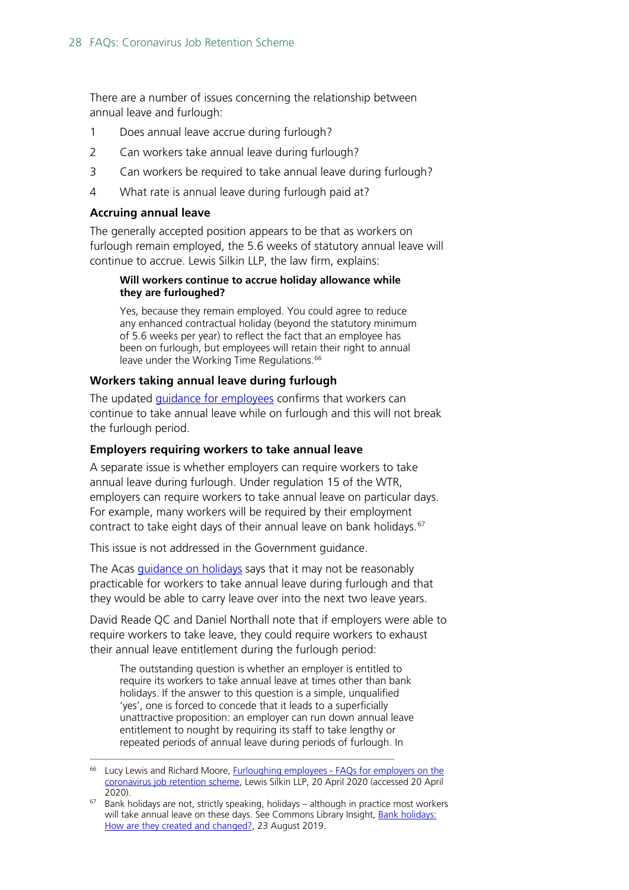There are a number of issues concerning the relationship between annual leave and furlough:

- 1 Does annual leave accrue during furlough?
- 2 Can workers take annual leave during furlough?
- 3 Can workers be required to take annual leave during furlough?
- 4 What rate is annual leave during furlough paid at?

#### **Accruing annual leave**

The generally accepted position appears to be that as workers on furlough remain employed, the 5.6 weeks of statutory annual leave will continue to accrue. Lewis Silkin LLP, the law firm, explains:

#### **Will workers continue to accrue holiday allowance while they are furloughed?**

Yes, because they remain employed. You could agree to reduce any enhanced contractual holiday (beyond the statutory minimum of 5.6 weeks per year) to reflect the fact that an employee has been on furlough, but employees will retain their right to annual leave under the Working Time Regulations.<sup>[66](#page-27-0)</sup>

#### **Workers taking annual leave during furlough**

The updated [guidance for employees](https://www.gov.uk/guidance/check-if-you-could-be-covered-by-the-coronavirus-job-retention-scheme) confirms that workers can continue to take annual leave while on furlough and this will not break the furlough period.

#### **Employers requiring workers to take annual leave**

A separate issue is whether employers can require workers to take annual leave during furlough. Under regulation 15 of the WTR, employers can require workers to take annual leave on particular days. For example, many workers will be required by their employment contract to take eight days of their annual leave on bank holidays.<sup>[67](#page-27-1)</sup>

This issue is not addressed in the Government guidance.

The Acas *[guidance](https://www.acas.org.uk/coronavirus/using-holiday) on holidays* says that it may not be reasonably practicable for workers to take annual leave during furlough and that they would be able to carry leave over into the next two leave years.

David Reade QC and Daniel Northall note that if employers were able to require workers to take leave, they could require workers to exhaust their annual leave entitlement during the furlough period:

The outstanding question is whether an employer is entitled to require its workers to take annual leave at times other than bank holidays. If the answer to this question is a simple, unqualified 'yes', one is forced to concede that it leads to a superficially unattractive proposition: an employer can run down annual leave entitlement to nought by requiring its staff to take lengthy or repeated periods of annual leave during periods of furlough. In

<span id="page-27-0"></span><sup>66</sup> Lucy Lewis and Richard Moore, Furloughing employees - [FAQs for employers on the](https://www.lewissilkin.com/en/insights/furloughing-employefaqs-for-employers-on-the-coronavirus-job-retention-scheme)  [coronavirus job retention scheme,](https://www.lewissilkin.com/en/insights/furloughing-employefaqs-for-employers-on-the-coronavirus-job-retention-scheme) Lewis Silkin LLP, 20 April 2020 (accessed 20 April 2020).

<span id="page-27-1"></span> $67$  Bank holidays are not, strictly speaking, holidays – although in practice most workers will take annual leave on these days. See Commons Library Insight, Bank holidays: [How are they created and changed?,](https://commonslibrary.parliament.uk/parliament-and-elections/parliament/bank-holidays-how-are-they-created-and-changed/) 23 August 2019.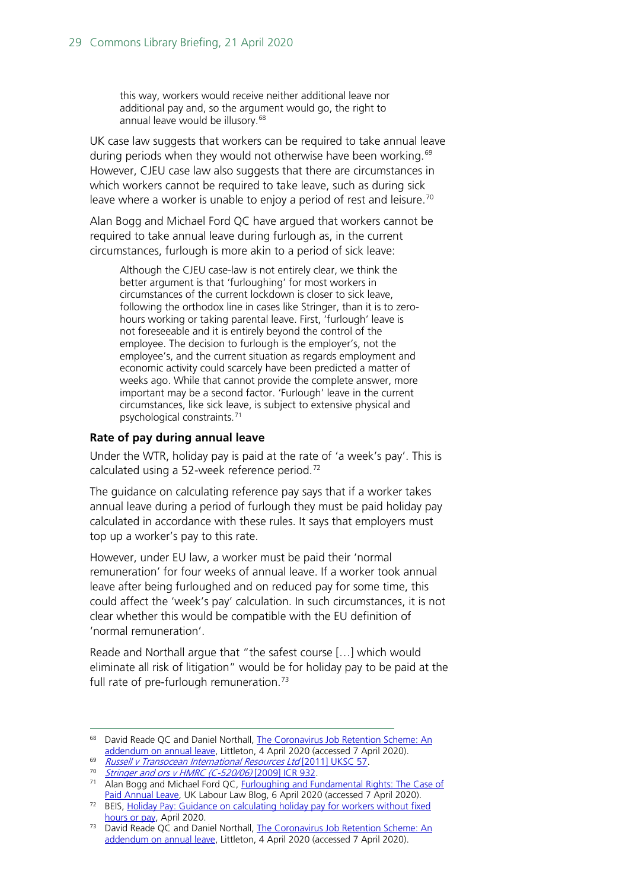this way, workers would receive neither additional leave nor additional pay and, so the argument would go, the right to annual leave would be illusory.<sup>[68](#page-28-0)</sup>

UK case law suggests that workers can be required to take annual leave during periods when they would not otherwise have been working.<sup>[69](#page-28-1)</sup> However, CJEU case law also suggests that there are circumstances in which workers cannot be required to take leave, such as during sick leave where a worker is unable to enjoy a period of rest and leisure.<sup>[70](#page-28-2)</sup>

Alan Bogg and Michael Ford QC have argued that workers cannot be required to take annual leave during furlough as, in the current circumstances, furlough is more akin to a period of sick leave:

Although the CJEU case-law is not entirely clear, we think the better argument is that 'furloughing' for most workers in circumstances of the current lockdown is closer to sick leave, following the orthodox line in cases like Stringer, than it is to zerohours working or taking parental leave. First, 'furlough' leave is not foreseeable and it is entirely beyond the control of the employee. The decision to furlough is the employer's, not the employee's, and the current situation as regards employment and economic activity could scarcely have been predicted a matter of weeks ago. While that cannot provide the complete answer, more important may be a second factor. 'Furlough' leave in the current circumstances, like sick leave, is subject to extensive physical and psychological constraints.[71](#page-28-3)

#### **Rate of pay during annual leave**

Under the WTR, holiday pay is paid at the rate of 'a week's pay'. This is calculated using a 52-week reference period.<sup>[72](#page-28-4)</sup>

The guidance on calculating reference pay says that if a worker takes annual leave during a period of furlough they must be paid holiday pay calculated in accordance with these rules. It says that employers must top up a worker's pay to this rate.

However, under EU law, a worker must be paid their 'normal remuneration' for four weeks of annual leave. If a worker took annual leave after being furloughed and on reduced pay for some time, this could affect the 'week's pay' calculation. In such circumstances, it is not clear whether this would be compatible with the EU definition of 'normal remuneration'.

Reade and Northall argue that "the safest course […] which would eliminate all risk of litigation" would be for holiday pay to be paid at the full rate of pre-furlough remuneration.<sup>[73](#page-28-5)</sup>

<span id="page-28-2"></span><span id="page-28-1"></span>69 [Russell v Transocean International Resources Ltd](https://www.supremecourt.uk/cases/docs/uksc-2010-0231-judgment.pdf) [2011] UKSC 57.

<span id="page-28-0"></span><sup>&</sup>lt;sup>68</sup> David Reade QC and Daniel Northall, The Coronavirus Job Retention Scheme: An [addendum on annual leave,](http://www.littletonchambers.com/the-coronavirus-job-retention-scheme-an-addendum-on-annual-leave-1548/) Littleton, 4 April 2020 (accessed 7 April 2020).

<sup>70</sup> [Stringer and ors v HMRC \(C-520/06\)](https://www.bailii.org/eu/cases/EUECJ/2009/C52006.html) [2009] ICR 932.

<span id="page-28-3"></span><sup>71</sup> Alan Bogg and Michael Ford QC, Furloughing and Fundamental Rights: The Case of [Paid Annual Leave,](https://uklabourlawblog.com/2020/04/06/furloughing-and-fundamental-rights-the-case-of-paid-annual-leave-by-alan-bogg-and-michael-ford/) UK Labour Law Blog, 6 April 2020 (accessed 7 April 2020).

<span id="page-28-4"></span><sup>72</sup> BEIS, Holiday Pay: Guidance on calculating holiday pay for workers without fixed [hours or pay,](https://assets.publishing.service.gov.uk/government/uploads/system/uploads/attachment_data/file/877642/calculating-holiday-pay-for-workers-without-fixed-hours-or-pay.pdf) April 2020.

<span id="page-28-5"></span> $73$  David Reade OC and Daniel Northall, The Coronavirus Job Retention Scheme: An [addendum on annual leave,](http://www.littletonchambers.com/the-coronavirus-job-retention-scheme-an-addendum-on-annual-leave-1548/) Littleton, 4 April 2020 (accessed 7 April 2020).